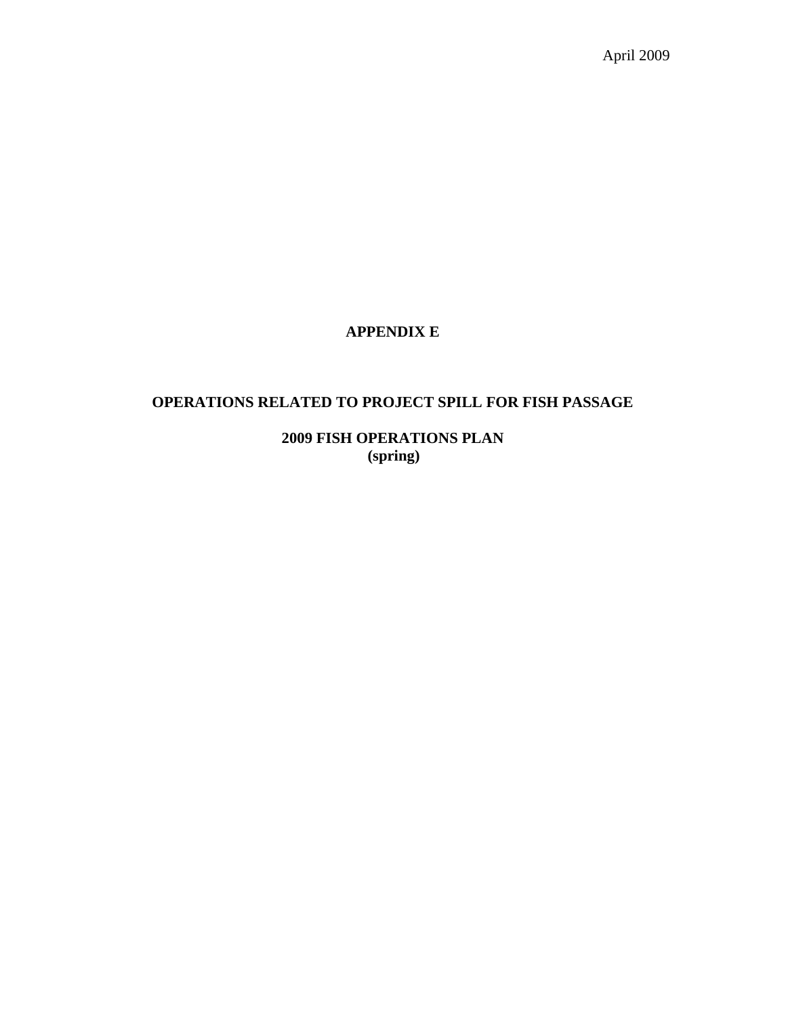April 2009

# **APPENDIX E**

# **OPERATIONS RELATED TO PROJECT SPILL FOR FISH PASSAGE**

**2009 FISH OPERATIONS PLAN (spring)**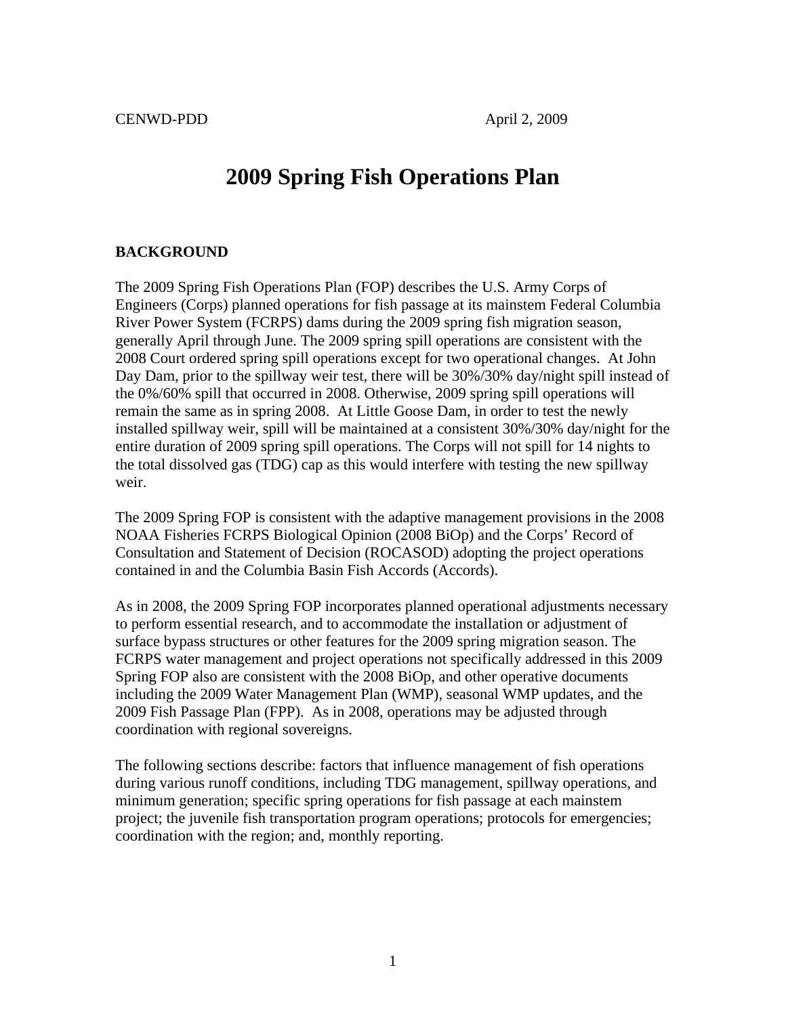# **2009 Spring Fish Operations Plan**

#### **BACKGROUND**

The 2009 Spring Fish Operations Plan (FOP) describes the U.S. Army Corps of Engineers (Corps) planned operations for fish passage at its mainstem Federal Columbia River Power System (FCRPS) dams during the 2009 spring fish migration season, generally April through June. The 2009 spring spill operations are consistent with the 2008 Court ordered spring spill operations except for two operational changes. At John Day Dam, prior to the spillway weir test, there will be 30%/30% day/night spill instead of the 0%/60% spill that occurred in 2008. Otherwise, 2009 spring spill operations will remain the same as in spring 2008. At Little Goose Dam, in order to test the newly installed spillway weir, spill will be maintained at a consistent 30%/30% day/night for the entire duration of 2009 spring spill operations. The Corps will not spill for 14 nights to the total dissolved gas (TDG) cap as this would interfere with testing the new spillway weir.

The 2009 Spring FOP is consistent with the adaptive management provisions in the 2008 NOAA Fisheries FCRPS Biological Opinion (2008 BiOp) and the Corps' Record of Consultation and Statement of Decision (ROCASOD) adopting the project operations contained in and the Columbia Basin Fish Accords (Accords).

As in 2008, the 2009 Spring FOP incorporates planned operational adjustments necessary to perform essential research, and to accommodate the installation or adjustment of surface bypass structures or other features for the 2009 spring migration season. The FCRPS water management and project operations not specifically addressed in this 2009 Spring FOP also are consistent with the 2008 BiOp, and other operative documents including the 2009 Water Management Plan (WMP), seasonal WMP updates, and the 2009 Fish Passage Plan (FPP). As in 2008, operations may be adjusted through coordination with regional sovereigns.

The following sections describe: factors that influence management of fish operations during various runoff conditions, including TDG management, spillway operations, and minimum generation; specific spring operations for fish passage at each mainstem project; the juvenile fish transportation program operations; protocols for emergencies; coordination with the region; and, monthly reporting.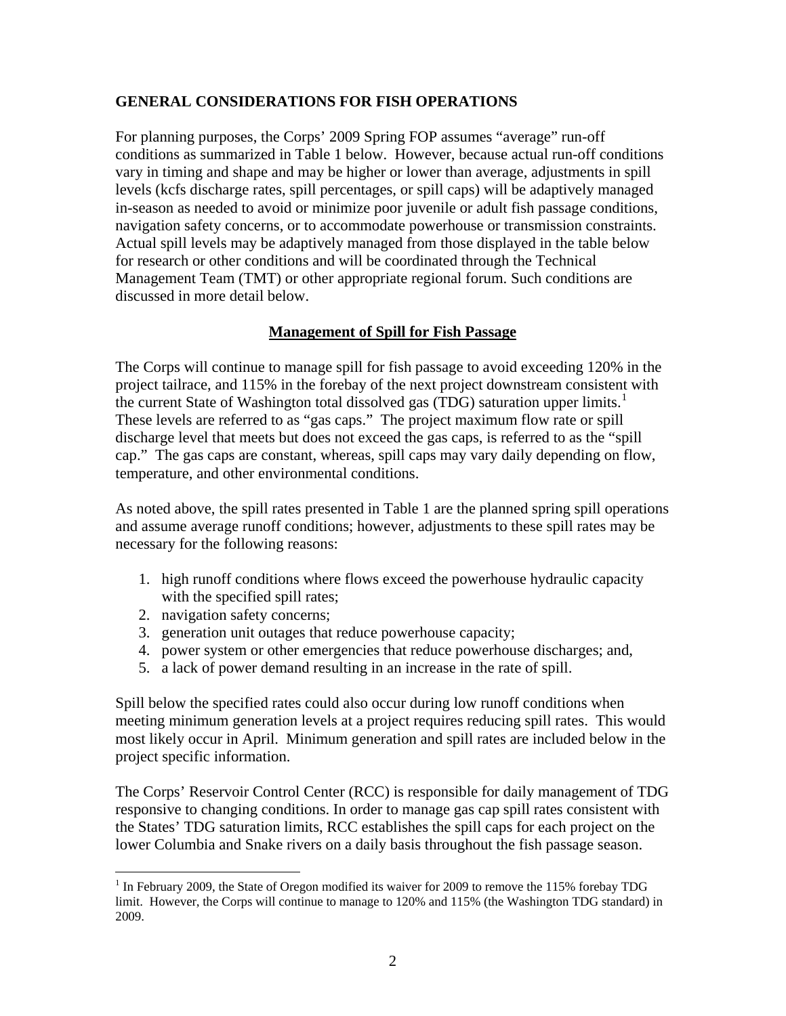## **GENERAL CONSIDERATIONS FOR FISH OPERATIONS**

For planning purposes, the Corps' 2009 Spring FOP assumes "average" run-off conditions as summarized in Table 1 below. However, because actual run-off conditions vary in timing and shape and may be higher or lower than average, adjustments in spill levels (kcfs discharge rates, spill percentages, or spill caps) will be adaptively managed in-season as needed to avoid or minimize poor juvenile or adult fish passage conditions, navigation safety concerns, or to accommodate powerhouse or transmission constraints. Actual spill levels may be adaptively managed from those displayed in the table below for research or other conditions and will be coordinated through the Technical Management Team (TMT) or other appropriate regional forum. Such conditions are discussed in more detail below.

### **Management of Spill for Fish Passage**

The Corps will continue to manage spill for fish passage to avoid exceeding 120% in the project tailrace, and 115% in the forebay of the next project downstream consistent with the current State of Washington total dissolved gas (TDG) saturation upper limits.<sup>[1](#page-2-0)</sup> These levels are referred to as "gas caps." The project maximum flow rate or spill discharge level that meets but does not exceed the gas caps, is referred to as the "spill cap." The gas caps are constant, whereas, spill caps may vary daily depending on flow, temperature, and other environmental conditions.

As noted above, the spill rates presented in Table 1 are the planned spring spill operations and assume average runoff conditions; however, adjustments to these spill rates may be necessary for the following reasons:

- 1. high runoff conditions where flows exceed the powerhouse hydraulic capacity with the specified spill rates;
- 2. navigation safety concerns;

 $\overline{a}$ 

- 3. generation unit outages that reduce powerhouse capacity;
- 4. power system or other emergencies that reduce powerhouse discharges; and,
- 5. a lack of power demand resulting in an increase in the rate of spill.

Spill below the specified rates could also occur during low runoff conditions when meeting minimum generation levels at a project requires reducing spill rates. This would most likely occur in April. Minimum generation and spill rates are included below in the project specific information.

The Corps' Reservoir Control Center (RCC) is responsible for daily management of TDG responsive to changing conditions. In order to manage gas cap spill rates consistent with the States' TDG saturation limits, RCC establishes the spill caps for each project on the lower Columbia and Snake rivers on a daily basis throughout the fish passage season.

<span id="page-2-0"></span> $1$  In February 2009, the State of Oregon modified its waiver for 2009 to remove the 115% forebay TDG limit. However, the Corps will continue to manage to 120% and 115% (the Washington TDG standard) in 2009.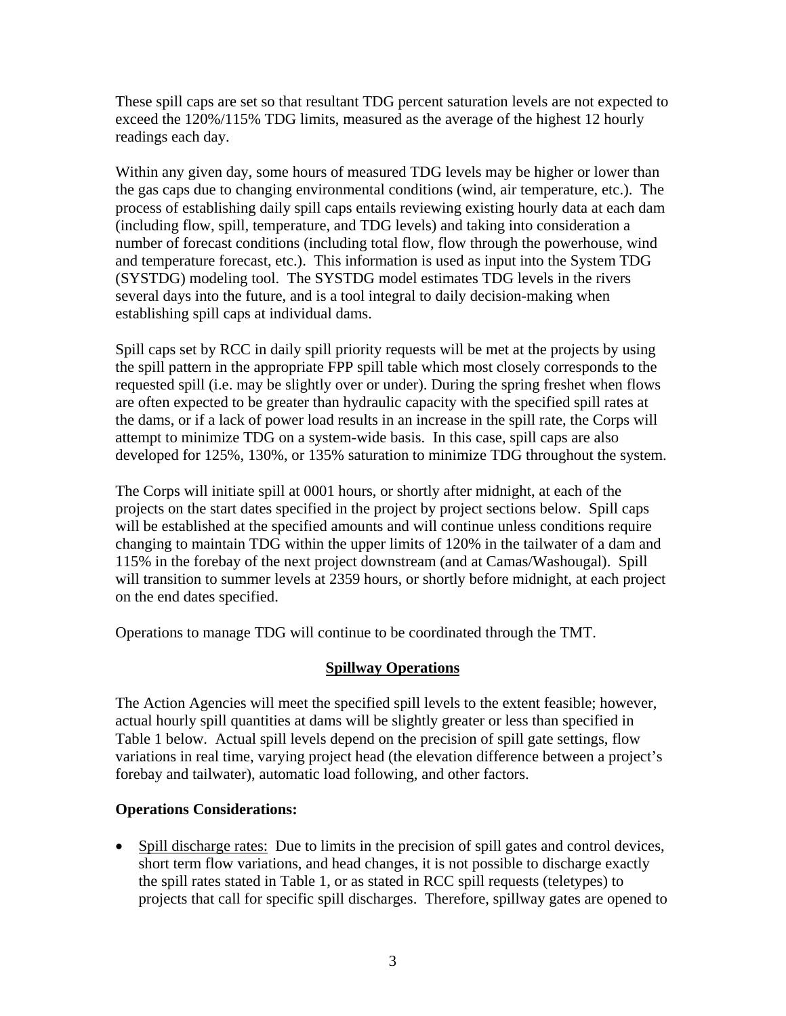These spill caps are set so that resultant TDG percent saturation levels are not expected to exceed the 120%/115% TDG limits, measured as the average of the highest 12 hourly readings each day.

Within any given day, some hours of measured TDG levels may be higher or lower than the gas caps due to changing environmental conditions (wind, air temperature, etc.). The process of establishing daily spill caps entails reviewing existing hourly data at each dam (including flow, spill, temperature, and TDG levels) and taking into consideration a number of forecast conditions (including total flow, flow through the powerhouse, wind and temperature forecast, etc.). This information is used as input into the System TDG (SYSTDG) modeling tool. The SYSTDG model estimates TDG levels in the rivers several days into the future, and is a tool integral to daily decision-making when establishing spill caps at individual dams.

Spill caps set by RCC in daily spill priority requests will be met at the projects by using the spill pattern in the appropriate FPP spill table which most closely corresponds to the requested spill (i.e. may be slightly over or under). During the spring freshet when flows are often expected to be greater than hydraulic capacity with the specified spill rates at the dams, or if a lack of power load results in an increase in the spill rate, the Corps will attempt to minimize TDG on a system-wide basis. In this case, spill caps are also developed for 125%, 130%, or 135% saturation to minimize TDG throughout the system.

The Corps will initiate spill at 0001 hours, or shortly after midnight, at each of the projects on the start dates specified in the project by project sections below. Spill caps will be established at the specified amounts and will continue unless conditions require changing to maintain TDG within the upper limits of 120% in the tailwater of a dam and 115% in the forebay of the next project downstream (and at Camas/Washougal). Spill will transition to summer levels at 2359 hours, or shortly before midnight, at each project on the end dates specified.

Operations to manage TDG will continue to be coordinated through the TMT.

# **Spillway Operations**

The Action Agencies will meet the specified spill levels to the extent feasible; however, actual hourly spill quantities at dams will be slightly greater or less than specified in Table 1 below. Actual spill levels depend on the precision of spill gate settings, flow variations in real time, varying project head (the elevation difference between a project's forebay and tailwater), automatic load following, and other factors.

# **Operations Considerations:**

• Spill discharge rates: Due to limits in the precision of spill gates and control devices, short term flow variations, and head changes, it is not possible to discharge exactly the spill rates stated in Table 1, or as stated in RCC spill requests (teletypes) to projects that call for specific spill discharges. Therefore, spillway gates are opened to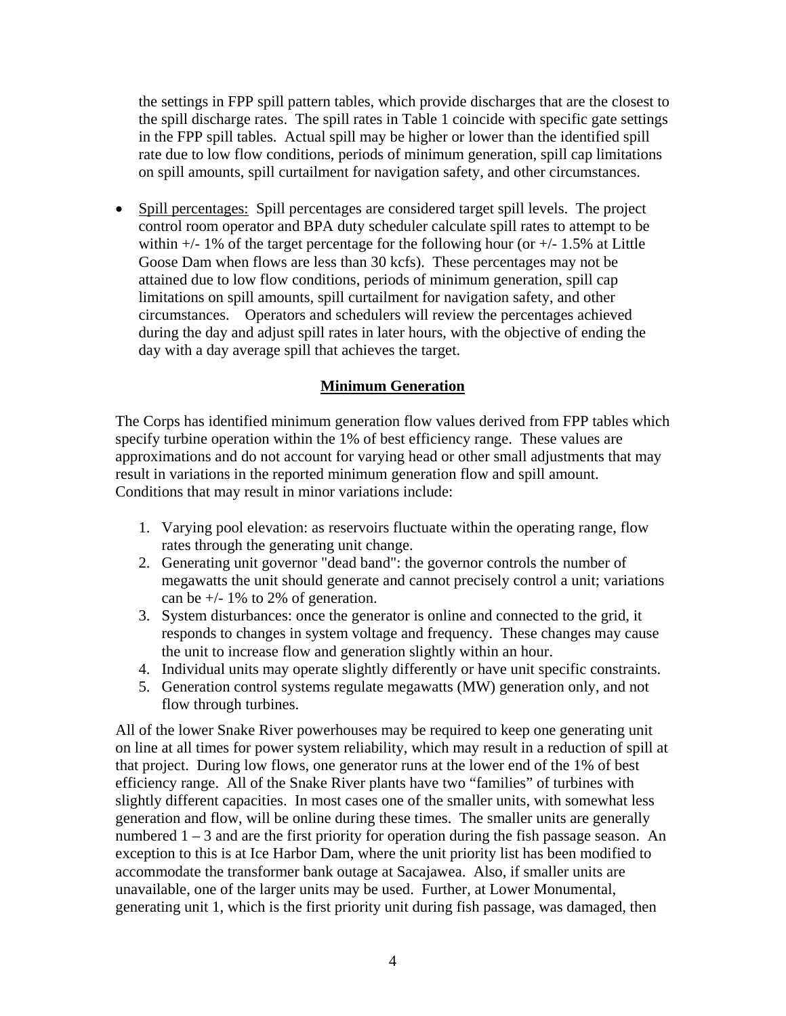the settings in FPP spill pattern tables, which provide discharges that are the closest to the spill discharge rates. The spill rates in Table 1 coincide with specific gate settings in the FPP spill tables. Actual spill may be higher or lower than the identified spill rate due to low flow conditions, periods of minimum generation, spill cap limitations on spill amounts, spill curtailment for navigation safety, and other circumstances.

• Spill percentages: Spill percentages are considered target spill levels. The project control room operator and BPA duty scheduler calculate spill rates to attempt to be within  $+/- 1\%$  of the target percentage for the following hour (or  $+/- 1.5\%$  at Little Goose Dam when flows are less than 30 kcfs). These percentages may not be attained due to low flow conditions, periods of minimum generation, spill cap limitations on spill amounts, spill curtailment for navigation safety, and other circumstances. Operators and schedulers will review the percentages achieved during the day and adjust spill rates in later hours, with the objective of ending the day with a day average spill that achieves the target.

# **Minimum Generation**

The Corps has identified minimum generation flow values derived from FPP tables which specify turbine operation within the 1% of best efficiency range. These values are approximations and do not account for varying head or other small adjustments that may result in variations in the reported minimum generation flow and spill amount. Conditions that may result in minor variations include:

- 1. Varying pool elevation: as reservoirs fluctuate within the operating range, flow rates through the generating unit change.
- 2. Generating unit governor "dead band": the governor controls the number of megawatts the unit should generate and cannot precisely control a unit; variations can be  $+/- 1\%$  to 2% of generation.
- 3. System disturbances: once the generator is online and connected to the grid, it responds to changes in system voltage and frequency. These changes may cause the unit to increase flow and generation slightly within an hour.
- 4. Individual units may operate slightly differently or have unit specific constraints.
- 5. Generation control systems regulate megawatts (MW) generation only, and not flow through turbines.

All of the lower Snake River powerhouses may be required to keep one generating unit on line at all times for power system reliability, which may result in a reduction of spill at that project. During low flows, one generator runs at the lower end of the 1% of best efficiency range. All of the Snake River plants have two "families" of turbines with slightly different capacities. In most cases one of the smaller units, with somewhat less generation and flow, will be online during these times. The smaller units are generally numbered 1 – 3 and are the first priority for operation during the fish passage season. An exception to this is at Ice Harbor Dam, where the unit priority list has been modified to accommodate the transformer bank outage at Sacajawea. Also, if smaller units are unavailable, one of the larger units may be used. Further, at Lower Monumental, generating unit 1, which is the first priority unit during fish passage, was damaged, then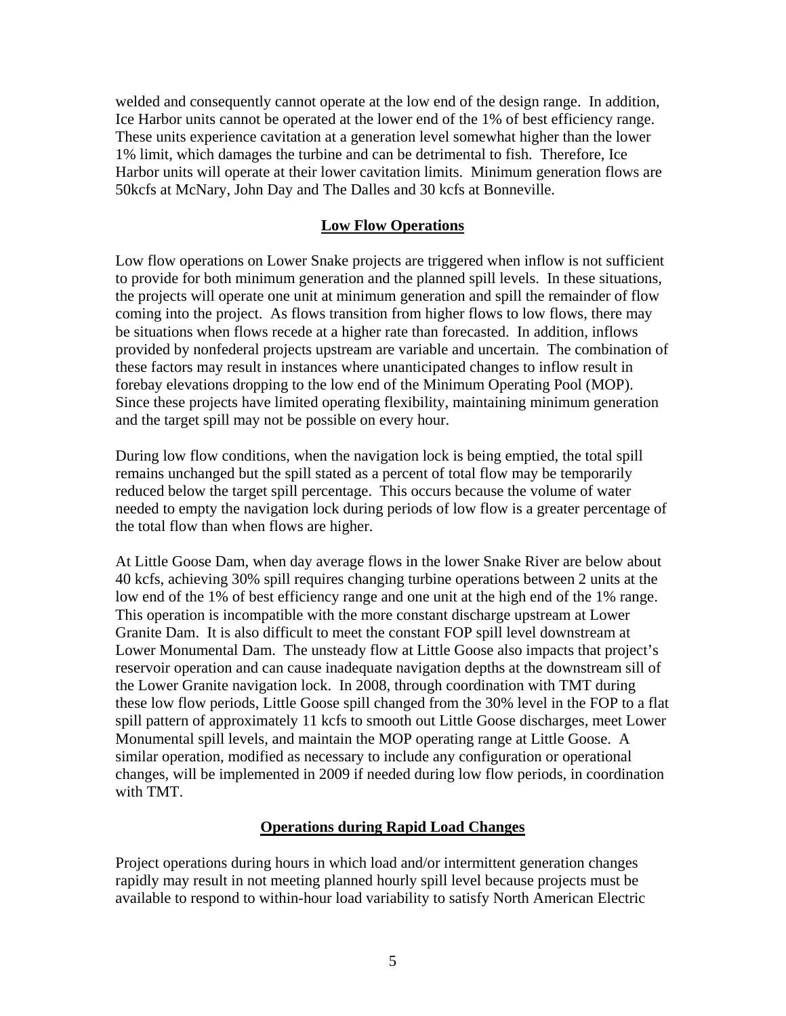welded and consequently cannot operate at the low end of the design range. In addition, Ice Harbor units cannot be operated at the lower end of the 1% of best efficiency range. These units experience cavitation at a generation level somewhat higher than the lower 1% limit, which damages the turbine and can be detrimental to fish. Therefore, Ice Harbor units will operate at their lower cavitation limits. Minimum generation flows are 50kcfs at McNary, John Day and The Dalles and 30 kcfs at Bonneville.

#### **Low Flow Operations**

Low flow operations on Lower Snake projects are triggered when inflow is not sufficient to provide for both minimum generation and the planned spill levels. In these situations, the projects will operate one unit at minimum generation and spill the remainder of flow coming into the project. As flows transition from higher flows to low flows, there may be situations when flows recede at a higher rate than forecasted. In addition, inflows provided by nonfederal projects upstream are variable and uncertain. The combination of these factors may result in instances where unanticipated changes to inflow result in forebay elevations dropping to the low end of the Minimum Operating Pool (MOP). Since these projects have limited operating flexibility, maintaining minimum generation and the target spill may not be possible on every hour.

During low flow conditions, when the navigation lock is being emptied, the total spill remains unchanged but the spill stated as a percent of total flow may be temporarily reduced below the target spill percentage. This occurs because the volume of water needed to empty the navigation lock during periods of low flow is a greater percentage of the total flow than when flows are higher.

At Little Goose Dam, when day average flows in the lower Snake River are below about 40 kcfs, achieving 30% spill requires changing turbine operations between 2 units at the low end of the 1% of best efficiency range and one unit at the high end of the 1% range. This operation is incompatible with the more constant discharge upstream at Lower Granite Dam. It is also difficult to meet the constant FOP spill level downstream at Lower Monumental Dam. The unsteady flow at Little Goose also impacts that project's reservoir operation and can cause inadequate navigation depths at the downstream sill of the Lower Granite navigation lock. In 2008, through coordination with TMT during these low flow periods, Little Goose spill changed from the 30% level in the FOP to a flat spill pattern of approximately 11 kcfs to smooth out Little Goose discharges, meet Lower Monumental spill levels, and maintain the MOP operating range at Little Goose. A similar operation, modified as necessary to include any configuration or operational changes, will be implemented in 2009 if needed during low flow periods, in coordination with TMT.

#### **Operations during Rapid Load Changes**

Project operations during hours in which load and/or intermittent generation changes rapidly may result in not meeting planned hourly spill level because projects must be available to respond to within-hour load variability to satisfy North American Electric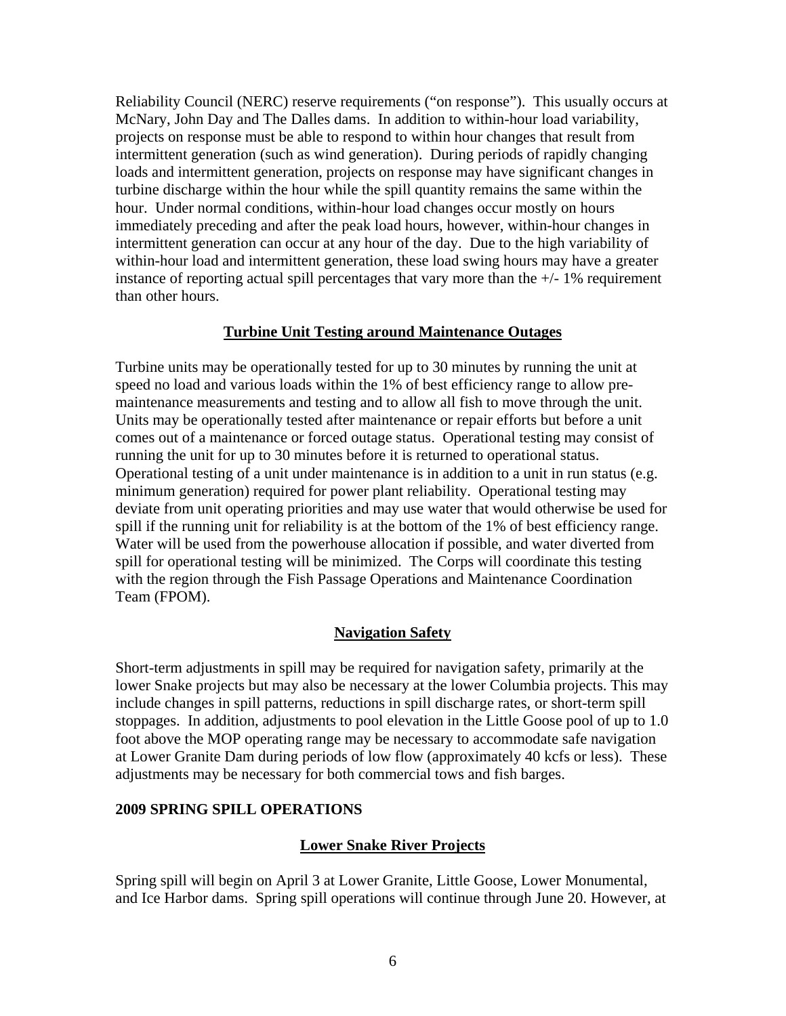Reliability Council (NERC) reserve requirements ("on response"). This usually occurs at McNary, John Day and The Dalles dams. In addition to within-hour load variability, projects on response must be able to respond to within hour changes that result from intermittent generation (such as wind generation). During periods of rapidly changing loads and intermittent generation, projects on response may have significant changes in turbine discharge within the hour while the spill quantity remains the same within the hour. Under normal conditions, within-hour load changes occur mostly on hours immediately preceding and after the peak load hours, however, within-hour changes in intermittent generation can occur at any hour of the day. Due to the high variability of within-hour load and intermittent generation, these load swing hours may have a greater instance of reporting actual spill percentages that vary more than the  $+/-1\%$  requirement than other hours.

### **Turbine Unit Testing around Maintenance Outages**

Turbine units may be operationally tested for up to 30 minutes by running the unit at speed no load and various loads within the 1% of best efficiency range to allow premaintenance measurements and testing and to allow all fish to move through the unit. Units may be operationally tested after maintenance or repair efforts but before a unit comes out of a maintenance or forced outage status. Operational testing may consist of running the unit for up to 30 minutes before it is returned to operational status. Operational testing of a unit under maintenance is in addition to a unit in run status (e.g. minimum generation) required for power plant reliability. Operational testing may deviate from unit operating priorities and may use water that would otherwise be used for spill if the running unit for reliability is at the bottom of the 1% of best efficiency range. Water will be used from the powerhouse allocation if possible, and water diverted from spill for operational testing will be minimized. The Corps will coordinate this testing with the region through the Fish Passage Operations and Maintenance Coordination Team (FPOM).

# **Navigation Safety**

Short-term adjustments in spill may be required for navigation safety, primarily at the lower Snake projects but may also be necessary at the lower Columbia projects. This may include changes in spill patterns, reductions in spill discharge rates, or short-term spill stoppages. In addition, adjustments to pool elevation in the Little Goose pool of up to 1.0 foot above the MOP operating range may be necessary to accommodate safe navigation at Lower Granite Dam during periods of low flow (approximately 40 kcfs or less). These adjustments may be necessary for both commercial tows and fish barges.

#### **2009 SPRING SPILL OPERATIONS**

# **Lower Snake River Projects**

Spring spill will begin on April 3 at Lower Granite, Little Goose, Lower Monumental, and Ice Harbor dams. Spring spill operations will continue through June 20. However, at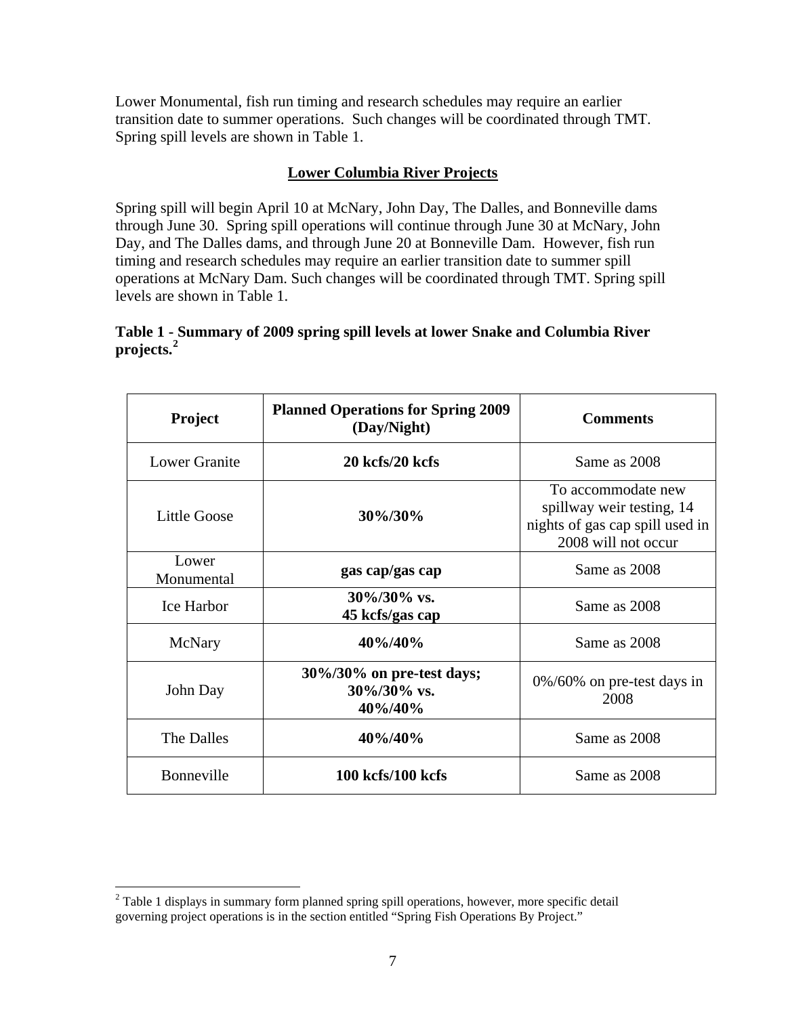Lower Monumental, fish run timing and research schedules may require an earlier transition date to summer operations. Such changes will be coordinated through TMT. Spring spill levels are shown in Table 1.

# **Lower Columbia River Projects**

Spring spill will begin April 10 at McNary, John Day, The Dalles, and Bonneville dams through June 30. Spring spill operations will continue through June 30 at McNary, John Day, and The Dalles dams, and through June 20 at Bonneville Dam. However, fish run timing and research schedules may require an earlier transition date to summer spill operations at McNary Dam. Such changes will be coordinated through TMT. Spring spill levels are shown in Table 1.

# **Table 1 - Summary of 2009 spring spill levels at lower Snake and Columbia River projects.[2](#page-7-0)**

| Project              | <b>Planned Operations for Spring 2009</b><br>(Day/Night) | <b>Comments</b>                                                                                           |
|----------------------|----------------------------------------------------------|-----------------------------------------------------------------------------------------------------------|
| <b>Lower Granite</b> | 20 kcfs/20 kcfs                                          | Same as 2008                                                                                              |
| <b>Little Goose</b>  | 30%/30%                                                  | To accommodate new<br>spillway weir testing, 14<br>nights of gas cap spill used in<br>2008 will not occur |
| Lower<br>Monumental  | gas cap/gas cap                                          | Same as 2008                                                                                              |
| <b>Ice Harbor</b>    | $30\%/30\%$ vs.<br>45 kcfs/gas cap                       | Same as 2008                                                                                              |
| McNary               | 40%/40%                                                  | Same as 2008                                                                                              |
| John Day             | 30%/30% on pre-test days;<br>$30\%/30\%$ vs.<br>40%/40%  | $0\%/60\%$ on pre-test days in<br>2008                                                                    |
| The Dalles           | 40%/40%                                                  | Same as 2008                                                                                              |
| Bonneville           | 100 kcfs/100 kcfs                                        | Same as 2008                                                                                              |

<span id="page-7-0"></span><sup>&</sup>lt;sup>2</sup> Table 1 displays in summary form planned spring spill operations, however, more specific detail governing project operations is in the section entitled "Spring Fish Operations By Project."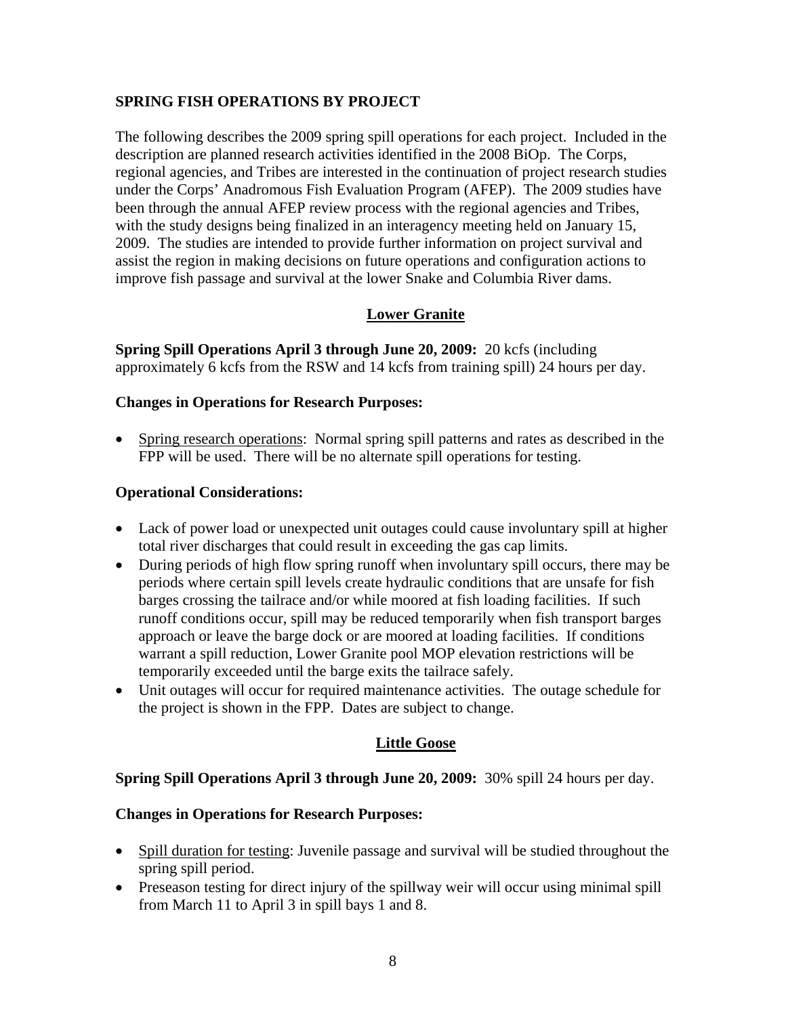# **SPRING FISH OPERATIONS BY PROJECT**

The following describes the 2009 spring spill operations for each project. Included in the description are planned research activities identified in the 2008 BiOp.The Corps, regional agencies, and Tribes are interested in the continuation of project research studies under the Corps' Anadromous Fish Evaluation Program (AFEP). The 2009 studies have been through the annual AFEP review process with the regional agencies and Tribes, with the study designs being finalized in an interagency meeting held on January 15, 2009. The studies are intended to provide further information on project survival and assist the region in making decisions on future operations and configuration actions to improve fish passage and survival at the lower Snake and Columbia River dams.

# **Lower Granite**

**Spring Spill Operations April 3 through June 20, 2009:** 20 kcfs (including approximately 6 kcfs from the RSW and 14 kcfs from training spill) 24 hours per day.

# **Changes in Operations for Research Purposes:**

• Spring research operations: Normal spring spill patterns and rates as described in the FPP will be used. There will be no alternate spill operations for testing.

### **Operational Considerations:**

- Lack of power load or unexpected unit outages could cause involuntary spill at higher total river discharges that could result in exceeding the gas cap limits.
- During periods of high flow spring runoff when involuntary spill occurs, there may be periods where certain spill levels create hydraulic conditions that are unsafe for fish barges crossing the tailrace and/or while moored at fish loading facilities. If such runoff conditions occur, spill may be reduced temporarily when fish transport barges approach or leave the barge dock or are moored at loading facilities. If conditions warrant a spill reduction, Lower Granite pool MOP elevation restrictions will be temporarily exceeded until the barge exits the tailrace safely.
- Unit outages will occur for required maintenance activities. The outage schedule for the project is shown in the FPP. Dates are subject to change.

# **Little Goose**

# **Spring Spill Operations April 3 through June 20, 2009:** 30% spill 24 hours per day.

# **Changes in Operations for Research Purposes:**

- Spill duration for testing: Juvenile passage and survival will be studied throughout the spring spill period.
- Preseason testing for direct injury of the spillway weir will occur using minimal spill from March 11 to April 3 in spill bays 1 and 8.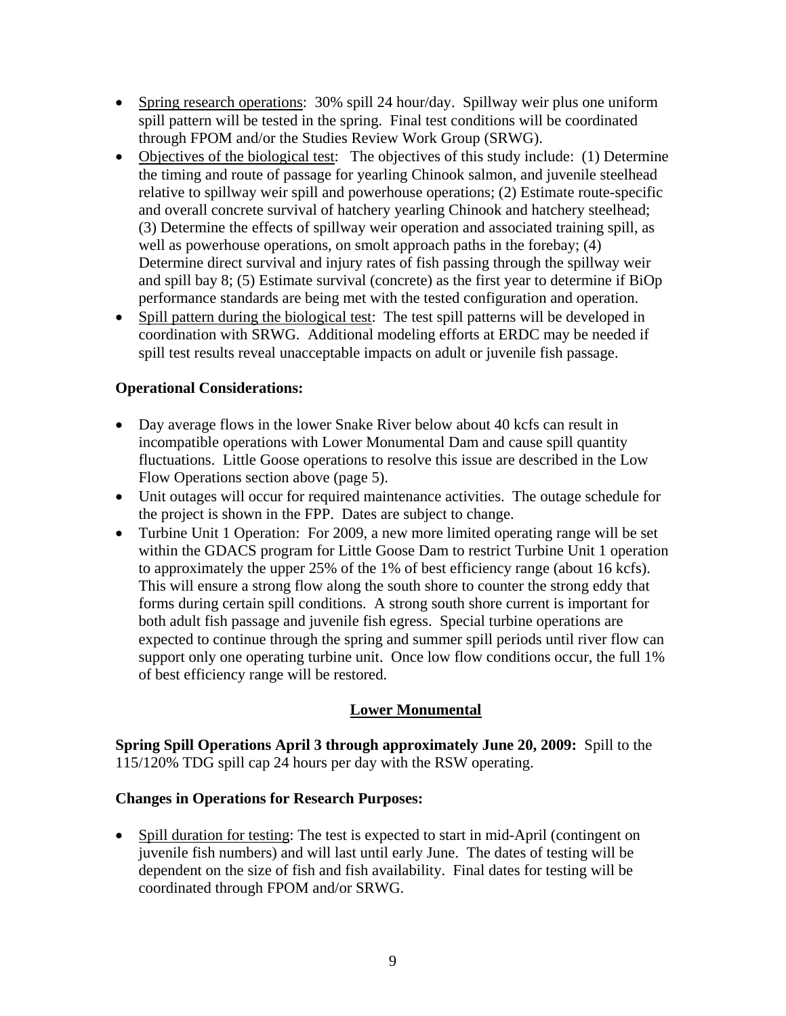- Spring research operations: 30% spill 24 hour/day. Spillway weir plus one uniform spill pattern will be tested in the spring. Final test conditions will be coordinated through FPOM and/or the Studies Review Work Group (SRWG).
- Objectives of the biological test: The objectives of this study include: (1) Determine the timing and route of passage for yearling Chinook salmon, and juvenile steelhead relative to spillway weir spill and powerhouse operations; (2) Estimate route-specific and overall concrete survival of hatchery yearling Chinook and hatchery steelhead; (3) Determine the effects of spillway weir operation and associated training spill, as well as powerhouse operations, on smolt approach paths in the forebay; (4) Determine direct survival and injury rates of fish passing through the spillway weir and spill bay 8; (5) Estimate survival (concrete) as the first year to determine if BiOp performance standards are being met with the tested configuration and operation.
- Spill pattern during the biological test: The test spill patterns will be developed in coordination with SRWG. Additional modeling efforts at ERDC may be needed if spill test results reveal unacceptable impacts on adult or juvenile fish passage.

# **Operational Considerations:**

- Day average flows in the lower Snake River below about 40 kcfs can result in incompatible operations with Lower Monumental Dam and cause spill quantity fluctuations. Little Goose operations to resolve this issue are described in the Low Flow Operations section above (page 5).
- Unit outages will occur for required maintenance activities. The outage schedule for the project is shown in the FPP. Dates are subject to change.
- Turbine Unit 1 Operation: For 2009, a new more limited operating range will be set within the GDACS program for Little Goose Dam to restrict Turbine Unit 1 operation to approximately the upper 25% of the 1% of best efficiency range (about 16 kcfs). This will ensure a strong flow along the south shore to counter the strong eddy that forms during certain spill conditions. A strong south shore current is important for both adult fish passage and juvenile fish egress. Special turbine operations are expected to continue through the spring and summer spill periods until river flow can support only one operating turbine unit. Once low flow conditions occur, the full 1% of best efficiency range will be restored.

# **Lower Monumental**

**Spring Spill Operations April 3 through approximately June 20, 2009:** Spill to the 115/120% TDG spill cap 24 hours per day with the RSW operating.

# **Changes in Operations for Research Purposes:**

• Spill duration for testing: The test is expected to start in mid-April (contingent on juvenile fish numbers) and will last until early June. The dates of testing will be dependent on the size of fish and fish availability. Final dates for testing will be coordinated through FPOM and/or SRWG.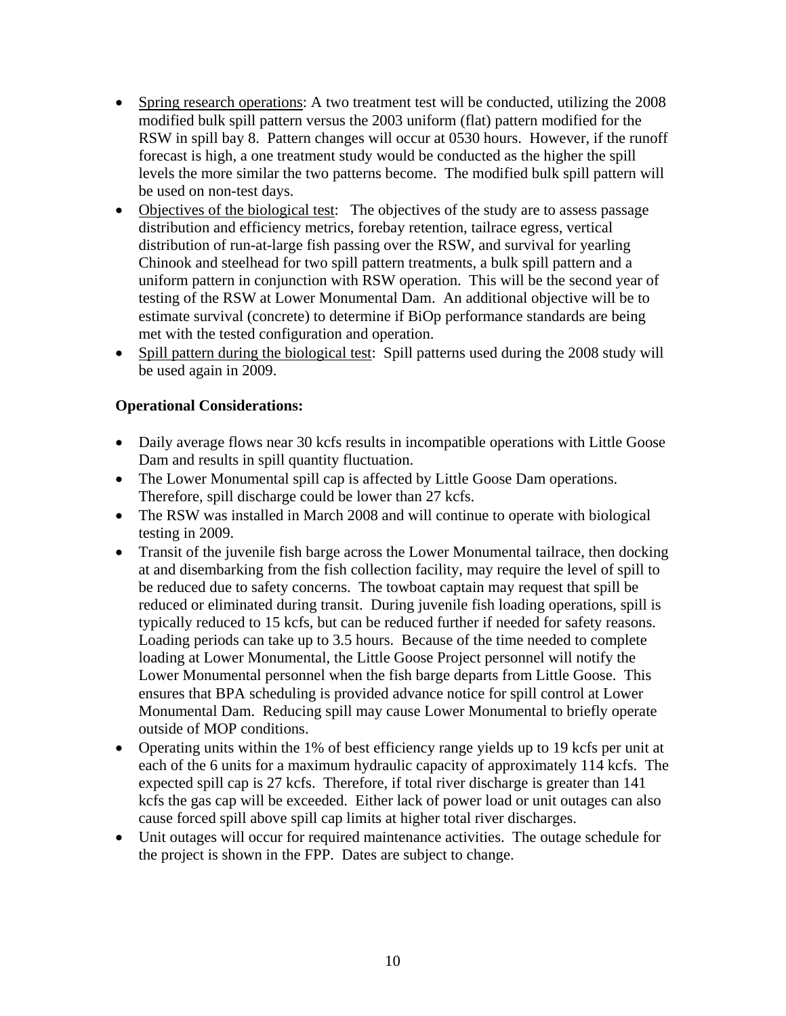- Spring research operations: A two treatment test will be conducted, utilizing the 2008 modified bulk spill pattern versus the 2003 uniform (flat) pattern modified for the RSW in spill bay 8. Pattern changes will occur at 0530 hours. However, if the runoff forecast is high, a one treatment study would be conducted as the higher the spill levels the more similar the two patterns become. The modified bulk spill pattern will be used on non-test days.
- Objectives of the biological test: The objectives of the study are to assess passage distribution and efficiency metrics, forebay retention, tailrace egress, vertical distribution of run-at-large fish passing over the RSW, and survival for yearling Chinook and steelhead for two spill pattern treatments, a bulk spill pattern and a uniform pattern in conjunction with RSW operation. This will be the second year of testing of the RSW at Lower Monumental Dam. An additional objective will be to estimate survival (concrete) to determine if BiOp performance standards are being met with the tested configuration and operation.
- Spill pattern during the biological test: Spill patterns used during the 2008 study will be used again in 2009.

- Daily average flows near 30 kcfs results in incompatible operations with Little Goose Dam and results in spill quantity fluctuation.
- The Lower Monumental spill cap is affected by Little Goose Dam operations. Therefore, spill discharge could be lower than 27 kcfs.
- The RSW was installed in March 2008 and will continue to operate with biological testing in 2009.
- Transit of the juvenile fish barge across the Lower Monumental tailrace, then docking at and disembarking from the fish collection facility, may require the level of spill to be reduced due to safety concerns. The towboat captain may request that spill be reduced or eliminated during transit. During juvenile fish loading operations, spill is typically reduced to 15 kcfs, but can be reduced further if needed for safety reasons. Loading periods can take up to 3.5 hours. Because of the time needed to complete loading at Lower Monumental, the Little Goose Project personnel will notify the Lower Monumental personnel when the fish barge departs from Little Goose. This ensures that BPA scheduling is provided advance notice for spill control at Lower Monumental Dam. Reducing spill may cause Lower Monumental to briefly operate outside of MOP conditions.
- Operating units within the 1% of best efficiency range yields up to 19 kcfs per unit at each of the 6 units for a maximum hydraulic capacity of approximately 114 kcfs. The expected spill cap is 27 kcfs. Therefore, if total river discharge is greater than 141 kcfs the gas cap will be exceeded. Either lack of power load or unit outages can also cause forced spill above spill cap limits at higher total river discharges.
- Unit outages will occur for required maintenance activities. The outage schedule for the project is shown in the FPP. Dates are subject to change.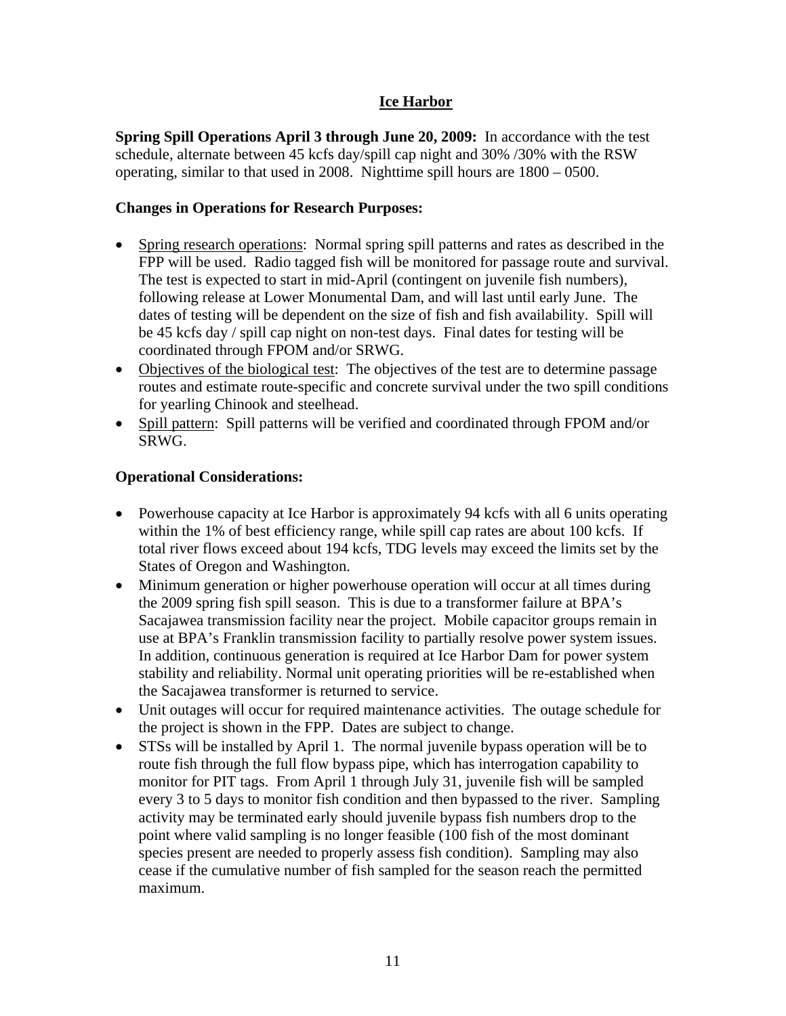# **Ice Harbor**

**Spring Spill Operations April 3 through June 20, 2009:** In accordance with the test schedule, alternate between 45 kcfs day/spill cap night and 30% /30% with the RSW operating, similar to that used in 2008. Nighttime spill hours are 1800 – 0500.

# **Changes in Operations for Research Purposes:**

- Spring research operations: Normal spring spill patterns and rates as described in the FPP will be used. Radio tagged fish will be monitored for passage route and survival. The test is expected to start in mid-April (contingent on juvenile fish numbers), following release at Lower Monumental Dam, and will last until early June. The dates of testing will be dependent on the size of fish and fish availability. Spill will be 45 kcfs day / spill cap night on non-test days. Final dates for testing will be coordinated through FPOM and/or SRWG.
- Objectives of the biological test: The objectives of the test are to determine passage routes and estimate route-specific and concrete survival under the two spill conditions for yearling Chinook and steelhead.
- Spill pattern: Spill patterns will be verified and coordinated through FPOM and/or SRWG.

- Powerhouse capacity at Ice Harbor is approximately 94 kcfs with all 6 units operating within the 1% of best efficiency range, while spill cap rates are about 100 kcfs. If total river flows exceed about 194 kcfs, TDG levels may exceed the limits set by the States of Oregon and Washington.
- Minimum generation or higher powerhouse operation will occur at all times during the 2009 spring fish spill season. This is due to a transformer failure at BPA's Sacajawea transmission facility near the project. Mobile capacitor groups remain in use at BPA's Franklin transmission facility to partially resolve power system issues. In addition, continuous generation is required at Ice Harbor Dam for power system stability and reliability. Normal unit operating priorities will be re-established when the Sacajawea transformer is returned to service.
- Unit outages will occur for required maintenance activities. The outage schedule for the project is shown in the FPP. Dates are subject to change.
- STSs will be installed by April 1. The normal juvenile bypass operation will be to route fish through the full flow bypass pipe, which has interrogation capability to monitor for PIT tags. From April 1 through July 31, juvenile fish will be sampled every 3 to 5 days to monitor fish condition and then bypassed to the river. Sampling activity may be terminated early should juvenile bypass fish numbers drop to the point where valid sampling is no longer feasible (100 fish of the most dominant species present are needed to properly assess fish condition). Sampling may also cease if the cumulative number of fish sampled for the season reach the permitted maximum.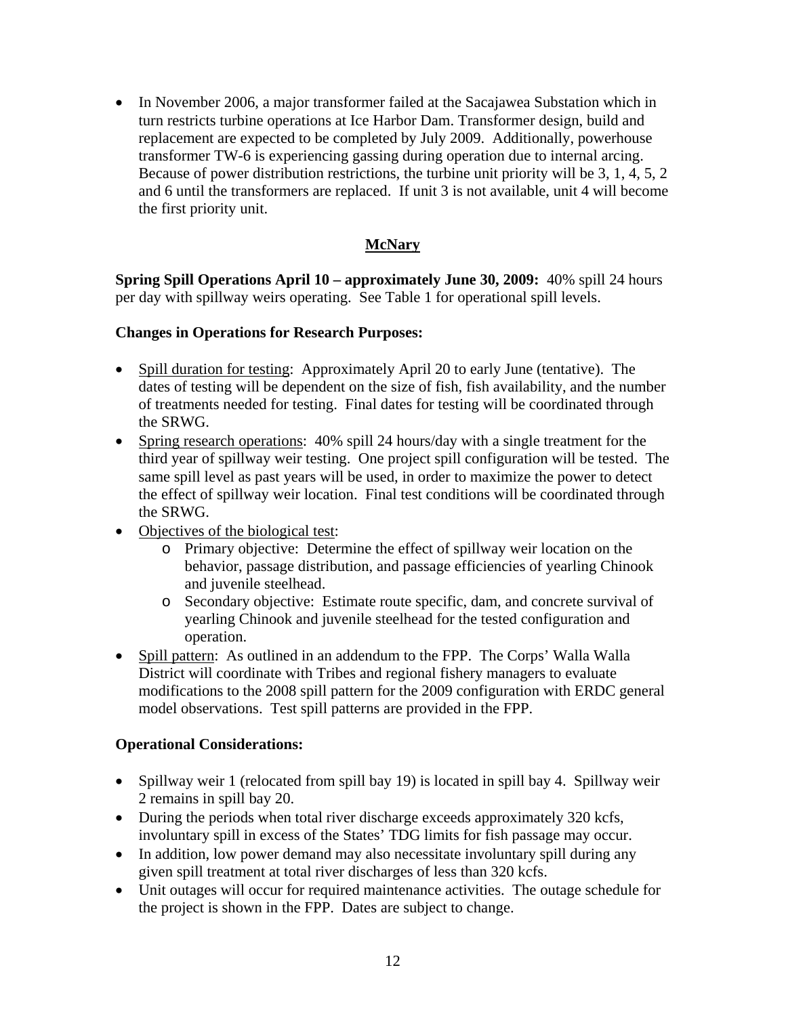• In November 2006, a major transformer failed at the Sacajawea Substation which in turn restricts turbine operations at Ice Harbor Dam. Transformer design, build and replacement are expected to be completed by July 2009. Additionally, powerhouse transformer TW-6 is experiencing gassing during operation due to internal arcing. Because of power distribution restrictions, the turbine unit priority will be 3, 1, 4, 5, 2 and 6 until the transformers are replaced. If unit 3 is not available, unit 4 will become the first priority unit.

# **McNary**

**Spring Spill Operations April 10 – approximately June 30, 2009:** 40% spill 24 hours per day with spillway weirs operating. See Table 1 for operational spill levels.

# **Changes in Operations for Research Purposes:**

- Spill duration for testing: Approximately April 20 to early June (tentative). The dates of testing will be dependent on the size of fish, fish availability, and the number of treatments needed for testing. Final dates for testing will be coordinated through the SRWG.
- Spring research operations: 40% spill 24 hours/day with a single treatment for the third year of spillway weir testing. One project spill configuration will be tested. The same spill level as past years will be used, in order to maximize the power to detect the effect of spillway weir location. Final test conditions will be coordinated through the SRWG.
- Objectives of the biological test:
	- o Primary objective: Determine the effect of spillway weir location on the behavior, passage distribution, and passage efficiencies of yearling Chinook and juvenile steelhead.
	- o Secondary objective: Estimate route specific, dam, and concrete survival of yearling Chinook and juvenile steelhead for the tested configuration and operation.
- Spill pattern: As outlined in an addendum to the FPP. The Corps' Walla Walla District will coordinate with Tribes and regional fishery managers to evaluate modifications to the 2008 spill pattern for the 2009 configuration with ERDC general model observations. Test spill patterns are provided in the FPP.

- Spillway weir 1 (relocated from spill bay 19) is located in spill bay 4. Spillway weir 2 remains in spill bay 20.
- During the periods when total river discharge exceeds approximately 320 kcfs, involuntary spill in excess of the States' TDG limits for fish passage may occur.
- In addition, low power demand may also necessitate involuntary spill during any given spill treatment at total river discharges of less than 320 kcfs.
- Unit outages will occur for required maintenance activities. The outage schedule for the project is shown in the FPP. Dates are subject to change.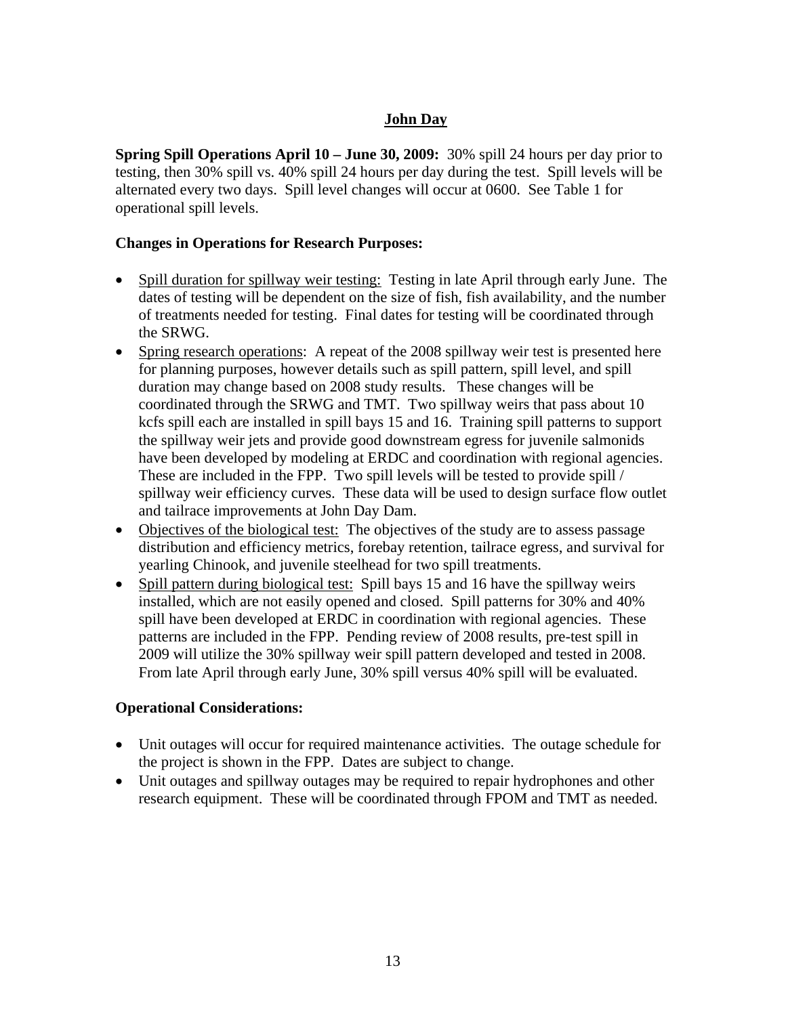# **John Day**

**Spring Spill Operations April 10 – June 30, 2009:** 30% spill 24 hours per day prior to testing, then 30% spill vs. 40% spill 24 hours per day during the test. Spill levels will be alternated every two days. Spill level changes will occur at 0600. See Table 1 for operational spill levels.

## **Changes in Operations for Research Purposes:**

- Spill duration for spillway weir testing: Testing in late April through early June. The dates of testing will be dependent on the size of fish, fish availability, and the number of treatments needed for testing. Final dates for testing will be coordinated through the SRWG.
- Spring research operations: A repeat of the 2008 spillway weir test is presented here for planning purposes, however details such as spill pattern, spill level, and spill duration may change based on 2008 study results. These changes will be coordinated through the SRWG and TMT. Two spillway weirs that pass about 10 kcfs spill each are installed in spill bays 15 and 16. Training spill patterns to support the spillway weir jets and provide good downstream egress for juvenile salmonids have been developed by modeling at ERDC and coordination with regional agencies. These are included in the FPP. Two spill levels will be tested to provide spill / spillway weir efficiency curves. These data will be used to design surface flow outlet and tailrace improvements at John Day Dam.
- Objectives of the biological test: The objectives of the study are to assess passage distribution and efficiency metrics, forebay retention, tailrace egress, and survival for yearling Chinook, and juvenile steelhead for two spill treatments.
- Spill pattern during biological test: Spill bays 15 and 16 have the spillway weirs installed, which are not easily opened and closed. Spill patterns for 30% and 40% spill have been developed at ERDC in coordination with regional agencies. These patterns are included in the FPP. Pending review of 2008 results, pre-test spill in 2009 will utilize the 30% spillway weir spill pattern developed and tested in 2008. From late April through early June, 30% spill versus 40% spill will be evaluated.

- Unit outages will occur for required maintenance activities. The outage schedule for the project is shown in the FPP. Dates are subject to change.
- Unit outages and spillway outages may be required to repair hydrophones and other research equipment. These will be coordinated through FPOM and TMT as needed.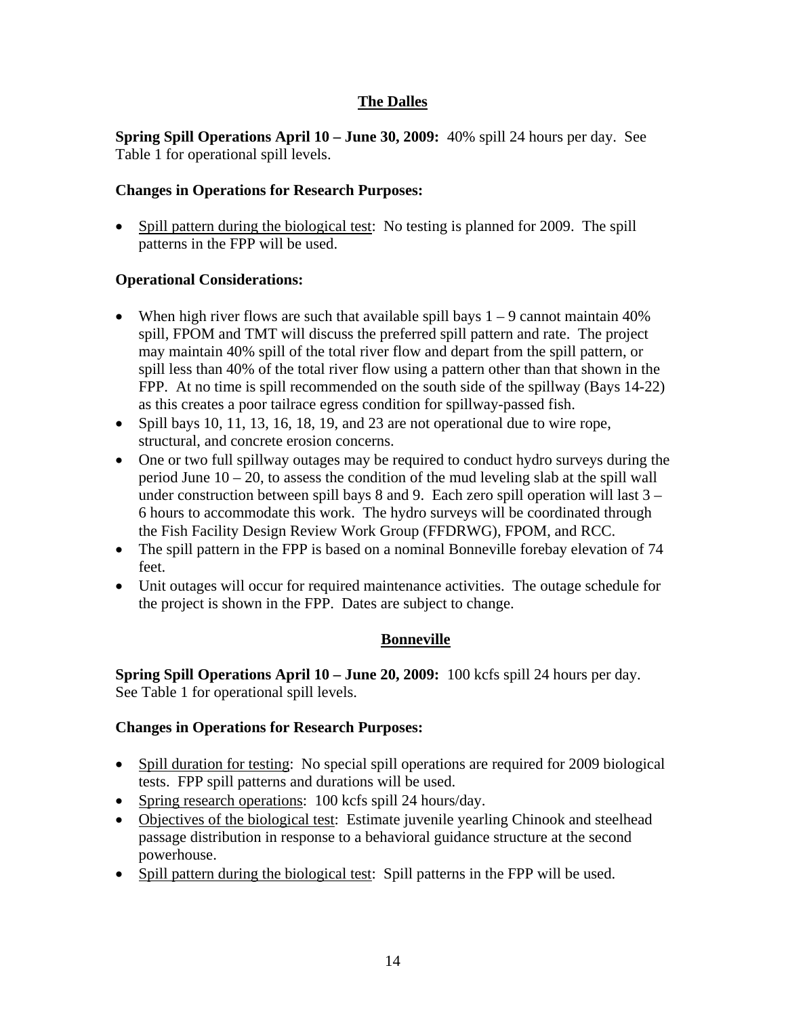# **The Dalles**

**Spring Spill Operations April 10 – June 30, 2009:** 40% spill 24 hours per day. See Table 1 for operational spill levels.

## **Changes in Operations for Research Purposes:**

• Spill pattern during the biological test: No testing is planned for 2009. The spill patterns in the FPP will be used.

### **Operational Considerations:**

- When high river flows are such that available spill bays  $1 9$  cannot maintain 40% spill, FPOM and TMT will discuss the preferred spill pattern and rate. The project may maintain 40% spill of the total river flow and depart from the spill pattern, or spill less than 40% of the total river flow using a pattern other than that shown in the FPP. At no time is spill recommended on the south side of the spillway (Bays 14-22) as this creates a poor tailrace egress condition for spillway-passed fish.
- Spill bays 10, 11, 13, 16, 18, 19, and 23 are not operational due to wire rope, structural, and concrete erosion concerns.
- One or two full spillway outages may be required to conduct hydro surveys during the period June  $10 - 20$ , to assess the condition of the mud leveling slab at the spill wall under construction between spill bays 8 and 9. Each zero spill operation will last  $3 -$ 6 hours to accommodate this work. The hydro surveys will be coordinated through the Fish Facility Design Review Work Group (FFDRWG), FPOM, and RCC.
- The spill pattern in the FPP is based on a nominal Bonneville forebay elevation of 74 feet.
- Unit outages will occur for required maintenance activities. The outage schedule for the project is shown in the FPP. Dates are subject to change.

# **Bonneville**

**Spring Spill Operations April 10 – June 20, 2009:** 100 kcfs spill 24 hours per day. See Table 1 for operational spill levels.

#### **Changes in Operations for Research Purposes:**

- Spill duration for testing: No special spill operations are required for 2009 biological tests. FPP spill patterns and durations will be used.
- Spring research operations: 100 kcfs spill 24 hours/day.
- Objectives of the biological test: Estimate juvenile yearling Chinook and steelhead passage distribution in response to a behavioral guidance structure at the second powerhouse.
- Spill pattern during the biological test: Spill patterns in the FPP will be used.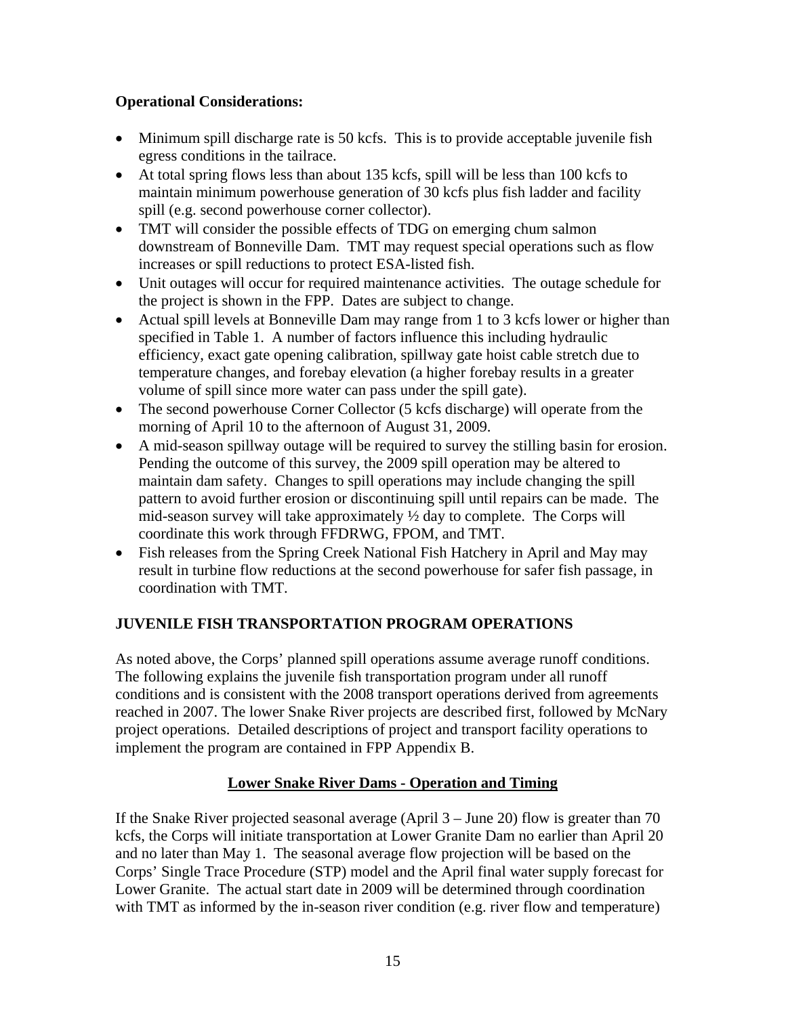# **Operational Considerations:**

- Minimum spill discharge rate is 50 kcfs. This is to provide acceptable juvenile fish egress conditions in the tailrace.
- At total spring flows less than about 135 kcfs, spill will be less than 100 kcfs to maintain minimum powerhouse generation of 30 kcfs plus fish ladder and facility spill (e.g. second powerhouse corner collector).
- TMT will consider the possible effects of TDG on emerging chum salmon downstream of Bonneville Dam. TMT may request special operations such as flow increases or spill reductions to protect ESA-listed fish.
- Unit outages will occur for required maintenance activities. The outage schedule for the project is shown in the FPP. Dates are subject to change.
- Actual spill levels at Bonneville Dam may range from 1 to 3 kcfs lower or higher than specified in Table 1. A number of factors influence this including hydraulic efficiency, exact gate opening calibration, spillway gate hoist cable stretch due to temperature changes, and forebay elevation (a higher forebay results in a greater volume of spill since more water can pass under the spill gate).
- The second powerhouse Corner Collector (5 kcfs discharge) will operate from the morning of April 10 to the afternoon of August 31, 2009.
- A mid-season spillway outage will be required to survey the stilling basin for erosion. Pending the outcome of this survey, the 2009 spill operation may be altered to maintain dam safety. Changes to spill operations may include changing the spill pattern to avoid further erosion or discontinuing spill until repairs can be made. The mid-season survey will take approximately  $\frac{1}{2}$  day to complete. The Corps will coordinate this work through FFDRWG, FPOM, and TMT.
- Fish releases from the Spring Creek National Fish Hatchery in April and May may result in turbine flow reductions at the second powerhouse for safer fish passage, in coordination with TMT.

# **JUVENILE FISH TRANSPORTATION PROGRAM OPERATIONS**

As noted above, the Corps' planned spill operations assume average runoff conditions. The following explains the juvenile fish transportation program under all runoff conditions and is consistent with the 2008 transport operations derived from agreements reached in 2007. The lower Snake River projects are described first, followed by McNary project operations. Detailed descriptions of project and transport facility operations to implement the program are contained in FPP Appendix B.

# **Lower Snake River Dams - Operation and Timing**

If the Snake River projected seasonal average (April 3 – June 20) flow is greater than 70 kcfs, the Corps will initiate transportation at Lower Granite Dam no earlier than April 20 and no later than May 1. The seasonal average flow projection will be based on the Corps' Single Trace Procedure (STP) model and the April final water supply forecast for Lower Granite. The actual start date in 2009 will be determined through coordination with TMT as informed by the in-season river condition (e.g. river flow and temperature)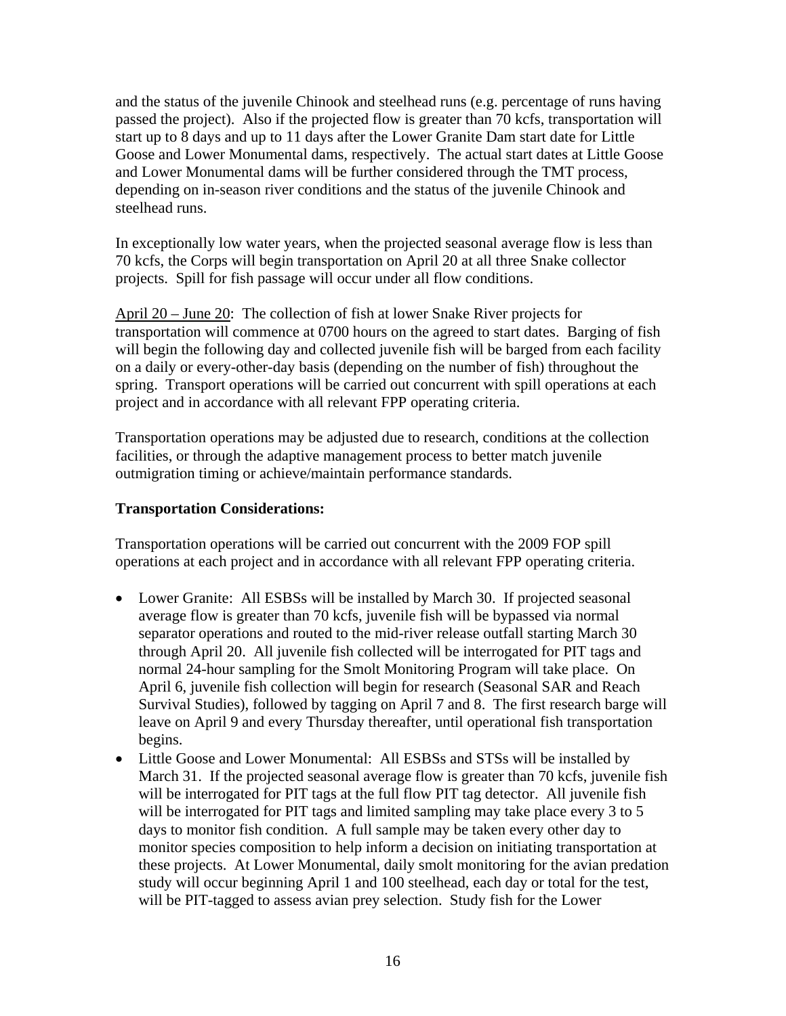and the status of the juvenile Chinook and steelhead runs (e.g. percentage of runs having passed the project). Also if the projected flow is greater than 70 kcfs, transportation will start up to 8 days and up to 11 days after the Lower Granite Dam start date for Little Goose and Lower Monumental dams, respectively. The actual start dates at Little Goose and Lower Monumental dams will be further considered through the TMT process, depending on in-season river conditions and the status of the juvenile Chinook and steelhead runs.

In exceptionally low water years, when the projected seasonal average flow is less than 70 kcfs, the Corps will begin transportation on April 20 at all three Snake collector projects. Spill for fish passage will occur under all flow conditions.

April 20 – June 20: The collection of fish at lower Snake River projects for transportation will commence at 0700 hours on the agreed to start dates. Barging of fish will begin the following day and collected juvenile fish will be barged from each facility on a daily or every-other-day basis (depending on the number of fish) throughout the spring. Transport operations will be carried out concurrent with spill operations at each project and in accordance with all relevant FPP operating criteria.

Transportation operations may be adjusted due to research, conditions at the collection facilities, or through the adaptive management process to better match juvenile outmigration timing or achieve/maintain performance standards.

## **Transportation Considerations:**

Transportation operations will be carried out concurrent with the 2009 FOP spill operations at each project and in accordance with all relevant FPP operating criteria.

- Lower Granite: All ESBSs will be installed by March 30. If projected seasonal average flow is greater than 70 kcfs, juvenile fish will be bypassed via normal separator operations and routed to the mid-river release outfall starting March 30 through April 20. All juvenile fish collected will be interrogated for PIT tags and normal 24-hour sampling for the Smolt Monitoring Program will take place. On April 6, juvenile fish collection will begin for research (Seasonal SAR and Reach Survival Studies), followed by tagging on April 7 and 8. The first research barge will leave on April 9 and every Thursday thereafter, until operational fish transportation begins.
- Little Goose and Lower Monumental: All ESBSs and STSs will be installed by March 31. If the projected seasonal average flow is greater than 70 kcfs, juvenile fish will be interrogated for PIT tags at the full flow PIT tag detector. All juvenile fish will be interrogated for PIT tags and limited sampling may take place every 3 to 5 days to monitor fish condition. A full sample may be taken every other day to monitor species composition to help inform a decision on initiating transportation at these projects. At Lower Monumental, daily smolt monitoring for the avian predation study will occur beginning April 1 and 100 steelhead, each day or total for the test, will be PIT-tagged to assess avian prey selection. Study fish for the Lower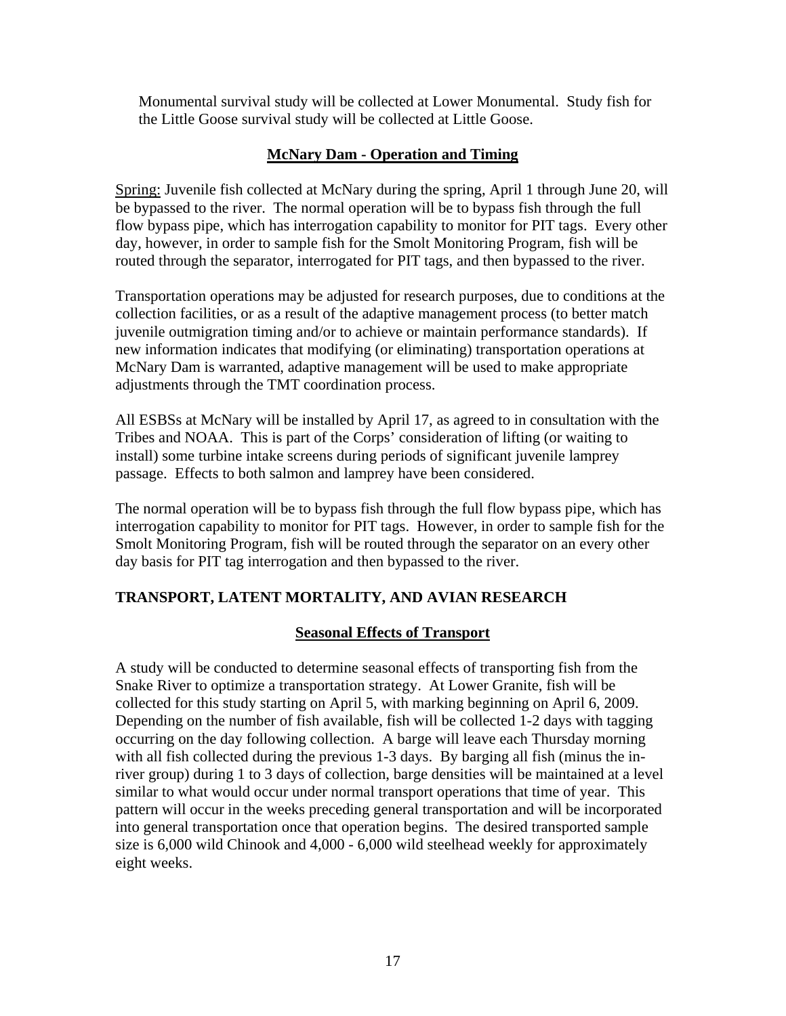Monumental survival study will be collected at Lower Monumental. Study fish for the Little Goose survival study will be collected at Little Goose.

# **McNary Dam - Operation and Timing**

Spring: Juvenile fish collected at McNary during the spring, April 1 through June 20, will be bypassed to the river. The normal operation will be to bypass fish through the full flow bypass pipe, which has interrogation capability to monitor for PIT tags. Every other day, however, in order to sample fish for the Smolt Monitoring Program, fish will be routed through the separator, interrogated for PIT tags, and then bypassed to the river.

Transportation operations may be adjusted for research purposes, due to conditions at the collection facilities, or as a result of the adaptive management process (to better match juvenile outmigration timing and/or to achieve or maintain performance standards). If new information indicates that modifying (or eliminating) transportation operations at McNary Dam is warranted, adaptive management will be used to make appropriate adjustments through the TMT coordination process.

All ESBSs at McNary will be installed by April 17, as agreed to in consultation with the Tribes and NOAA. This is part of the Corps' consideration of lifting (or waiting to install) some turbine intake screens during periods of significant juvenile lamprey passage. Effects to both salmon and lamprey have been considered.

The normal operation will be to bypass fish through the full flow bypass pipe, which has interrogation capability to monitor for PIT tags. However, in order to sample fish for the Smolt Monitoring Program, fish will be routed through the separator on an every other day basis for PIT tag interrogation and then bypassed to the river.

# **TRANSPORT, LATENT MORTALITY, AND AVIAN RESEARCH**

#### **Seasonal Effects of Transport**

A study will be conducted to determine seasonal effects of transporting fish from the Snake River to optimize a transportation strategy. At Lower Granite, fish will be collected for this study starting on April 5, with marking beginning on April 6, 2009. Depending on the number of fish available, fish will be collected 1-2 days with tagging occurring on the day following collection. A barge will leave each Thursday morning with all fish collected during the previous 1-3 days. By barging all fish (minus the inriver group) during 1 to 3 days of collection, barge densities will be maintained at a level similar to what would occur under normal transport operations that time of year. This pattern will occur in the weeks preceding general transportation and will be incorporated into general transportation once that operation begins. The desired transported sample size is 6,000 wild Chinook and 4,000 - 6,000 wild steelhead weekly for approximately eight weeks.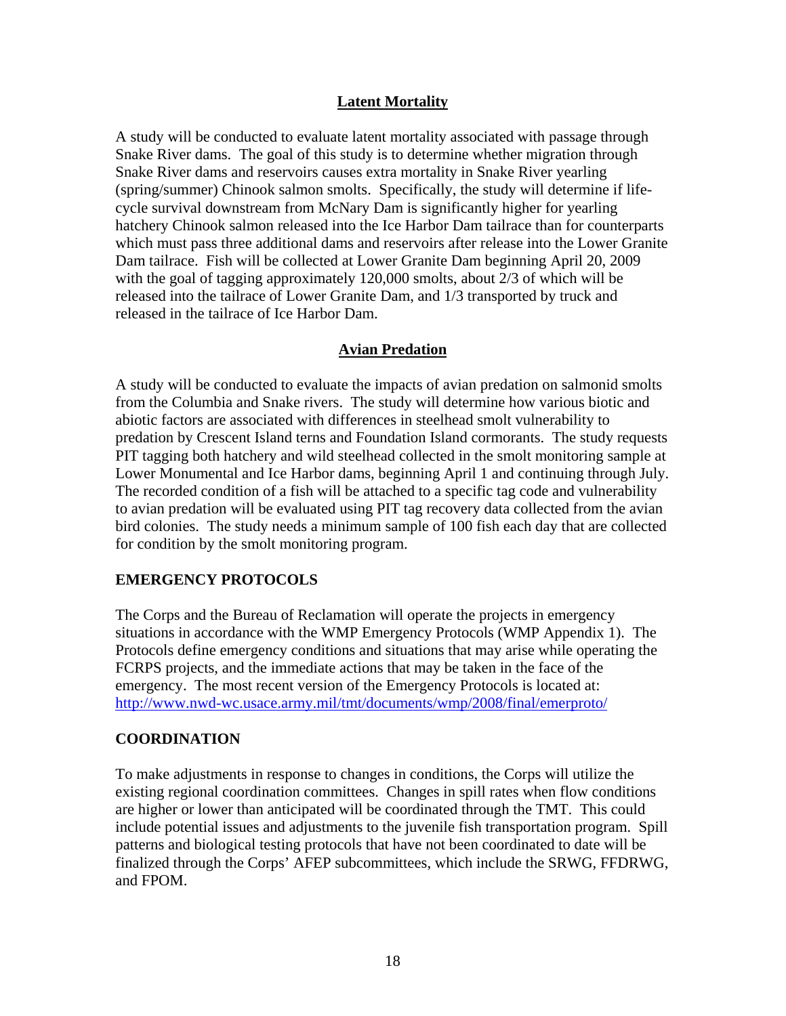# **Latent Mortality**

A study will be conducted to evaluate latent mortality associated with passage through Snake River dams. The goal of this study is to determine whether migration through Snake River dams and reservoirs causes extra mortality in Snake River yearling (spring/summer) Chinook salmon smolts. Specifically, the study will determine if lifecycle survival downstream from McNary Dam is significantly higher for yearling hatchery Chinook salmon released into the Ice Harbor Dam tailrace than for counterparts which must pass three additional dams and reservoirs after release into the Lower Granite Dam tailrace. Fish will be collected at Lower Granite Dam beginning April 20, 2009 with the goal of tagging approximately 120,000 smolts, about 2/3 of which will be released into the tailrace of Lower Granite Dam, and 1/3 transported by truck and released in the tailrace of Ice Harbor Dam.

# **Avian Predation**

A study will be conducted to evaluate the impacts of avian predation on salmonid smolts from the Columbia and Snake rivers. The study will determine how various biotic and abiotic factors are associated with differences in steelhead smolt vulnerability to predation by Crescent Island terns and Foundation Island cormorants. The study requests PIT tagging both hatchery and wild steelhead collected in the smolt monitoring sample at Lower Monumental and Ice Harbor dams, beginning April 1 and continuing through July. The recorded condition of a fish will be attached to a specific tag code and vulnerability to avian predation will be evaluated using PIT tag recovery data collected from the avian bird colonies. The study needs a minimum sample of 100 fish each day that are collected for condition by the smolt monitoring program.

# **EMERGENCY PROTOCOLS**

The Corps and the Bureau of Reclamation will operate the projects in emergency situations in accordance with the WMP Emergency Protocols (WMP Appendix 1). The Protocols define emergency conditions and situations that may arise while operating the FCRPS projects, and the immediate actions that may be taken in the face of the emergency. The most recent version of the Emergency Protocols is located at: <http://www.nwd-wc.usace.army.mil/tmt/documents/wmp/2008/final/emerproto/>

# **COORDINATION**

To make adjustments in response to changes in conditions, the Corps will utilize the existing regional coordination committees. Changes in spill rates when flow conditions are higher or lower than anticipated will be coordinated through the TMT. This could include potential issues and adjustments to the juvenile fish transportation program. Spill patterns and biological testing protocols that have not been coordinated to date will be finalized through the Corps' AFEP subcommittees, which include the SRWG, FFDRWG, and FPOM.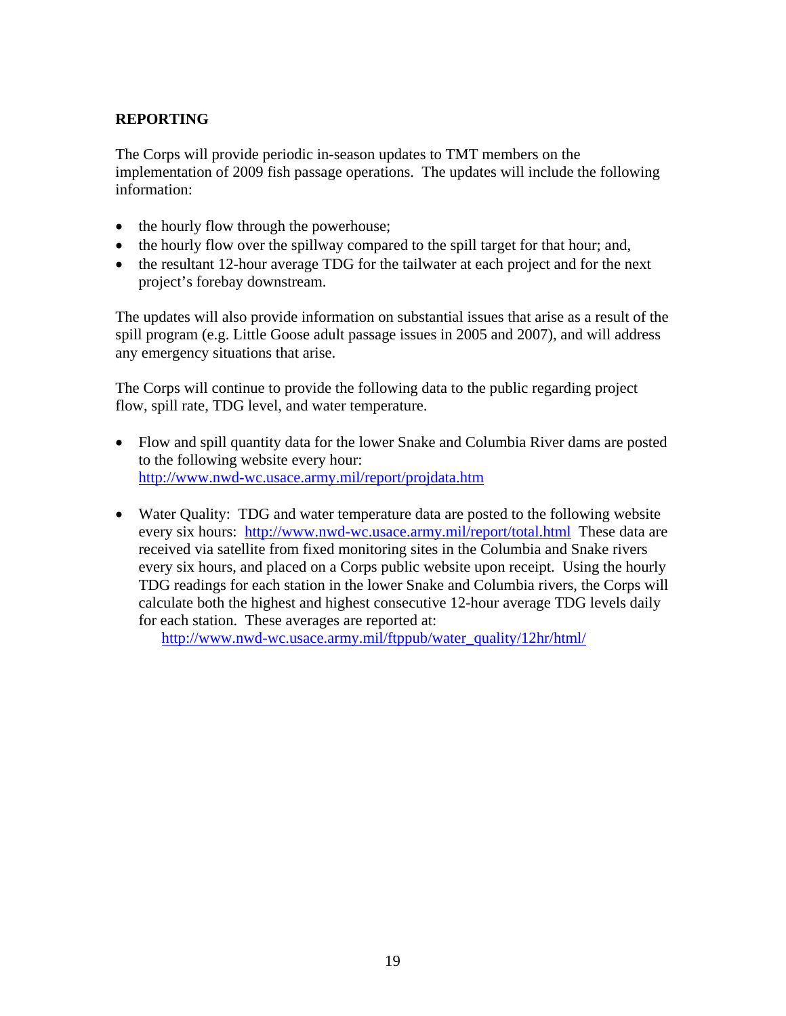# **REPORTING**

The Corps will provide periodic in-season updates to TMT members on the implementation of 2009 fish passage operations. The updates will include the following information:

- the hourly flow through the powerhouse;
- the hourly flow over the spillway compared to the spill target for that hour; and,
- the resultant 12-hour average TDG for the tailwater at each project and for the next project's forebay downstream.

The updates will also provide information on substantial issues that arise as a result of the spill program (e.g. Little Goose adult passage issues in 2005 and 2007), and will address any emergency situations that arise.

The Corps will continue to provide the following data to the public regarding project flow, spill rate, TDG level, and water temperature.

- Flow and spill quantity data for the lower Snake and Columbia River dams are posted to the following website every hour: <http://www.nwd-wc.usace.army.mil/report/projdata.htm>
- Water Quality: TDG and water temperature data are posted to the following website every six hours: <http://www.nwd-wc.usace.army.mil/report/total.html>These data are received via satellite from fixed monitoring sites in the Columbia and Snake rivers every six hours, and placed on a Corps public website upon receipt. Using the hourly TDG readings for each station in the lower Snake and Columbia rivers, the Corps will calculate both the highest and highest consecutive 12-hour average TDG levels daily for each station. These averages are reported at:

[http://www.nwd-wc.usace.army.mil/ftppub/water\\_quality/12hr/html/](http://www.nwd-wc.usace.army.mil/ftppub/water_quality/12hr/html/)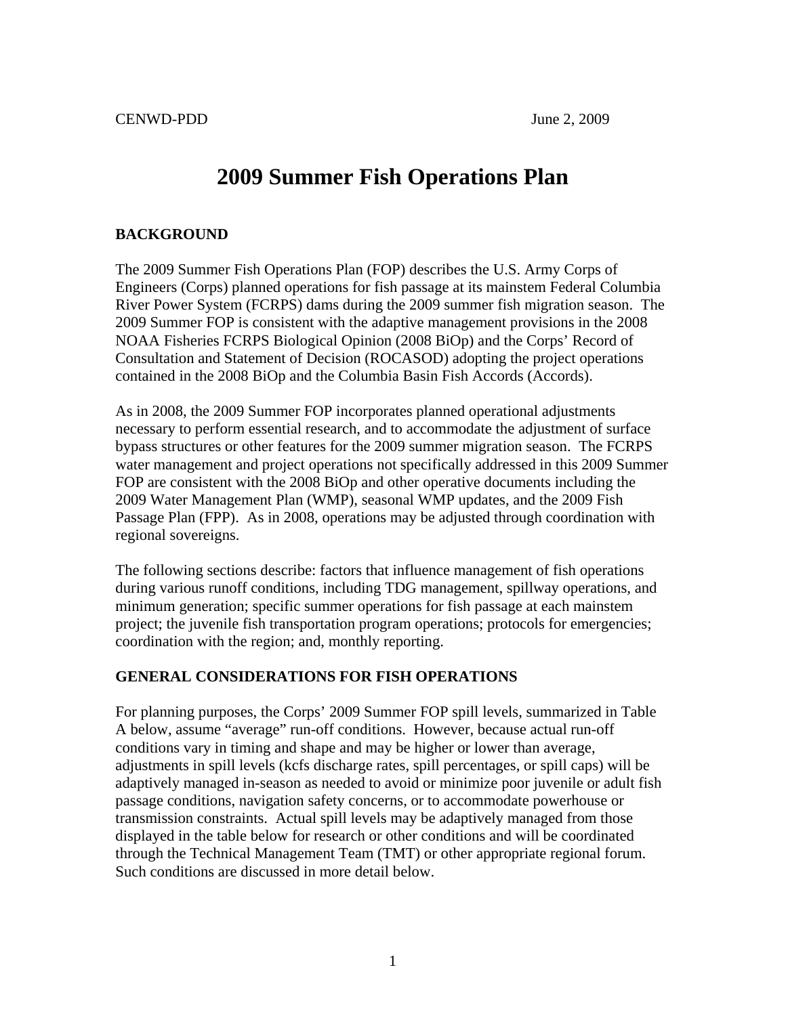# **2009 Summer Fish Operations Plan**

#### **BACKGROUND**

The 2009 Summer Fish Operations Plan (FOP) describes the U.S. Army Corps of Engineers (Corps) planned operations for fish passage at its mainstem Federal Columbia River Power System (FCRPS) dams during the 2009 summer fish migration season. The 2009 Summer FOP is consistent with the adaptive management provisions in the 2008 NOAA Fisheries FCRPS Biological Opinion (2008 BiOp) and the Corps' Record of Consultation and Statement of Decision (ROCASOD) adopting the project operations contained in the 2008 BiOp and the Columbia Basin Fish Accords (Accords).

As in 2008, the 2009 Summer FOP incorporates planned operational adjustments necessary to perform essential research, and to accommodate the adjustment of surface bypass structures or other features for the 2009 summer migration season. The FCRPS water management and project operations not specifically addressed in this 2009 Summer FOP are consistent with the 2008 BiOp and other operative documents including the 2009 Water Management Plan (WMP), seasonal WMP updates, and the 2009 Fish Passage Plan (FPP). As in 2008, operations may be adjusted through coordination with regional sovereigns.

The following sections describe: factors that influence management of fish operations during various runoff conditions, including TDG management, spillway operations, and minimum generation; specific summer operations for fish passage at each mainstem project; the juvenile fish transportation program operations; protocols for emergencies; coordination with the region; and, monthly reporting.

# **GENERAL CONSIDERATIONS FOR FISH OPERATIONS**

For planning purposes, the Corps' 2009 Summer FOP spill levels, summarized in Table A below, assume "average" run-off conditions. However, because actual run-off conditions vary in timing and shape and may be higher or lower than average, adjustments in spill levels (kcfs discharge rates, spill percentages, or spill caps) will be adaptively managed in-season as needed to avoid or minimize poor juvenile or adult fish passage conditions, navigation safety concerns, or to accommodate powerhouse or transmission constraints. Actual spill levels may be adaptively managed from those displayed in the table below for research or other conditions and will be coordinated through the Technical Management Team (TMT) or other appropriate regional forum. Such conditions are discussed in more detail below.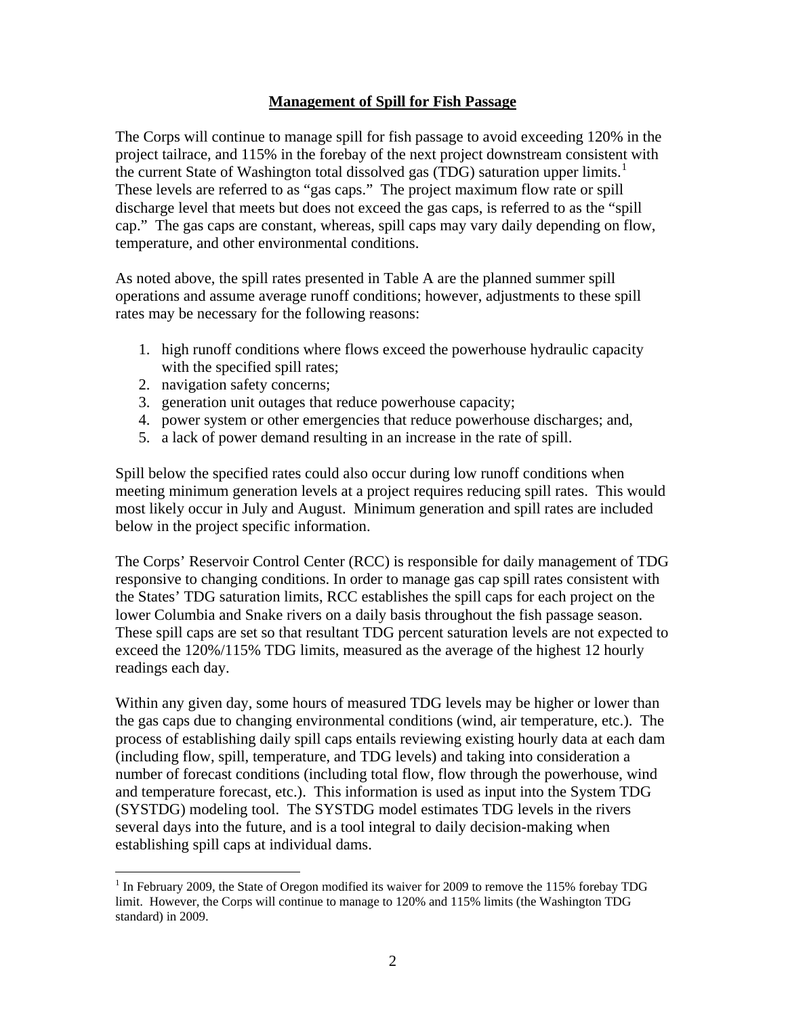### **Management of Spill for Fish Passage**

The Corps will continue to manage spill for fish passage to avoid exceeding 120% in the project tailrace, and 115% in the forebay of the next project downstream consistent with the current State of Washington total dissolved gas ( $\overline{TDG}$ ) saturation upper limits.<sup>[1](#page-21-0)</sup> These levels are referred to as "gas caps." The project maximum flow rate or spill discharge level that meets but does not exceed the gas caps, is referred to as the "spill cap." The gas caps are constant, whereas, spill caps may vary daily depending on flow, temperature, and other environmental conditions.

As noted above, the spill rates presented in Table A are the planned summer spill operations and assume average runoff conditions; however, adjustments to these spill rates may be necessary for the following reasons:

- 1. high runoff conditions where flows exceed the powerhouse hydraulic capacity with the specified spill rates;
- 2. navigation safety concerns;

 $\overline{a}$ 

- 3. generation unit outages that reduce powerhouse capacity;
- 4. power system or other emergencies that reduce powerhouse discharges; and,
- 5. a lack of power demand resulting in an increase in the rate of spill.

Spill below the specified rates could also occur during low runoff conditions when meeting minimum generation levels at a project requires reducing spill rates. This would most likely occur in July and August. Minimum generation and spill rates are included below in the project specific information.

The Corps' Reservoir Control Center (RCC) is responsible for daily management of TDG responsive to changing conditions. In order to manage gas cap spill rates consistent with the States' TDG saturation limits, RCC establishes the spill caps for each project on the lower Columbia and Snake rivers on a daily basis throughout the fish passage season. These spill caps are set so that resultant TDG percent saturation levels are not expected to exceed the 120%/115% TDG limits, measured as the average of the highest 12 hourly readings each day.

Within any given day, some hours of measured TDG levels may be higher or lower than the gas caps due to changing environmental conditions (wind, air temperature, etc.). The process of establishing daily spill caps entails reviewing existing hourly data at each dam (including flow, spill, temperature, and TDG levels) and taking into consideration a number of forecast conditions (including total flow, flow through the powerhouse, wind and temperature forecast, etc.). This information is used as input into the System TDG (SYSTDG) modeling tool. The SYSTDG model estimates TDG levels in the rivers several days into the future, and is a tool integral to daily decision-making when establishing spill caps at individual dams.

<span id="page-21-0"></span> $1$  In February 2009, the State of Oregon modified its waiver for 2009 to remove the 115% forebay TDG limit. However, the Corps will continue to manage to 120% and 115% limits (the Washington TDG standard) in 2009.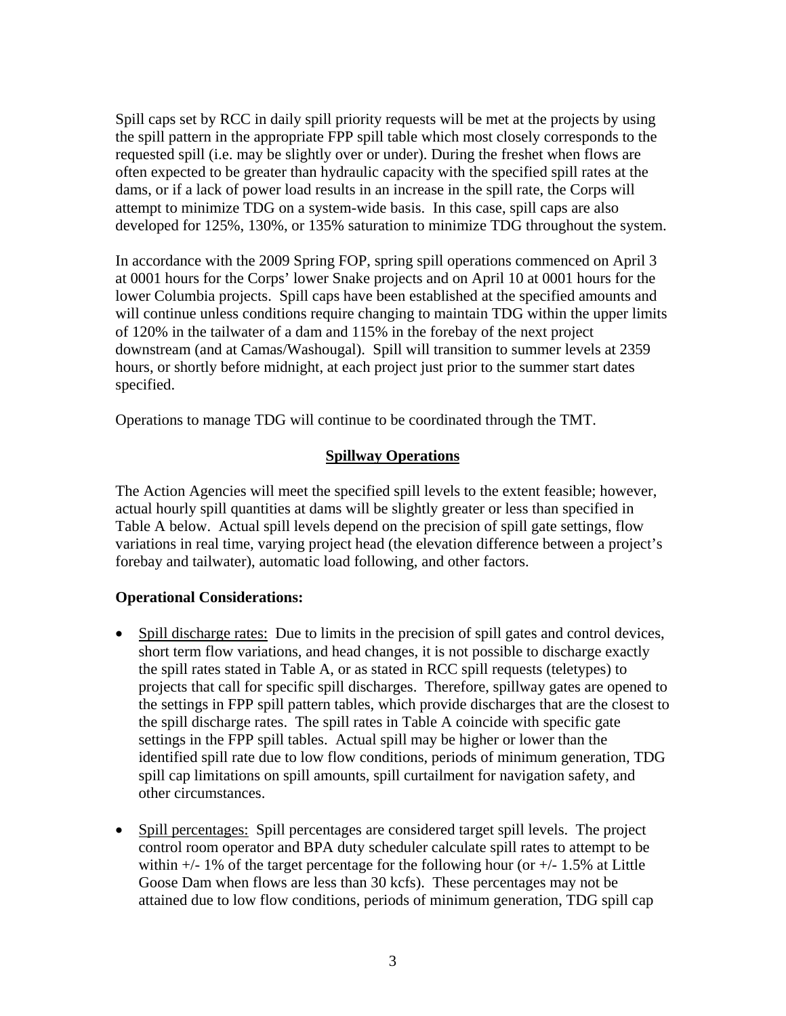Spill caps set by RCC in daily spill priority requests will be met at the projects by using the spill pattern in the appropriate FPP spill table which most closely corresponds to the requested spill (i.e. may be slightly over or under). During the freshet when flows are often expected to be greater than hydraulic capacity with the specified spill rates at the dams, or if a lack of power load results in an increase in the spill rate, the Corps will attempt to minimize TDG on a system-wide basis. In this case, spill caps are also developed for 125%, 130%, or 135% saturation to minimize TDG throughout the system.

In accordance with the 2009 Spring FOP, spring spill operations commenced on April 3 at 0001 hours for the Corps' lower Snake projects and on April 10 at 0001 hours for the lower Columbia projects. Spill caps have been established at the specified amounts and will continue unless conditions require changing to maintain TDG within the upper limits of 120% in the tailwater of a dam and 115% in the forebay of the next project downstream (and at Camas/Washougal). Spill will transition to summer levels at 2359 hours, or shortly before midnight, at each project just prior to the summer start dates specified.

Operations to manage TDG will continue to be coordinated through the TMT.

# **Spillway Operations**

The Action Agencies will meet the specified spill levels to the extent feasible; however, actual hourly spill quantities at dams will be slightly greater or less than specified in Table A below. Actual spill levels depend on the precision of spill gate settings, flow variations in real time, varying project head (the elevation difference between a project's forebay and tailwater), automatic load following, and other factors.

- Spill discharge rates: Due to limits in the precision of spill gates and control devices, short term flow variations, and head changes, it is not possible to discharge exactly the spill rates stated in Table A, or as stated in RCC spill requests (teletypes) to projects that call for specific spill discharges. Therefore, spillway gates are opened to the settings in FPP spill pattern tables, which provide discharges that are the closest to the spill discharge rates. The spill rates in Table A coincide with specific gate settings in the FPP spill tables. Actual spill may be higher or lower than the identified spill rate due to low flow conditions, periods of minimum generation, TDG spill cap limitations on spill amounts, spill curtailment for navigation safety, and other circumstances.
- Spill percentages: Spill percentages are considered target spill levels. The project control room operator and BPA duty scheduler calculate spill rates to attempt to be within  $+/- 1\%$  of the target percentage for the following hour (or  $+/- 1.5\%$  at Little Goose Dam when flows are less than 30 kcfs). These percentages may not be attained due to low flow conditions, periods of minimum generation, TDG spill cap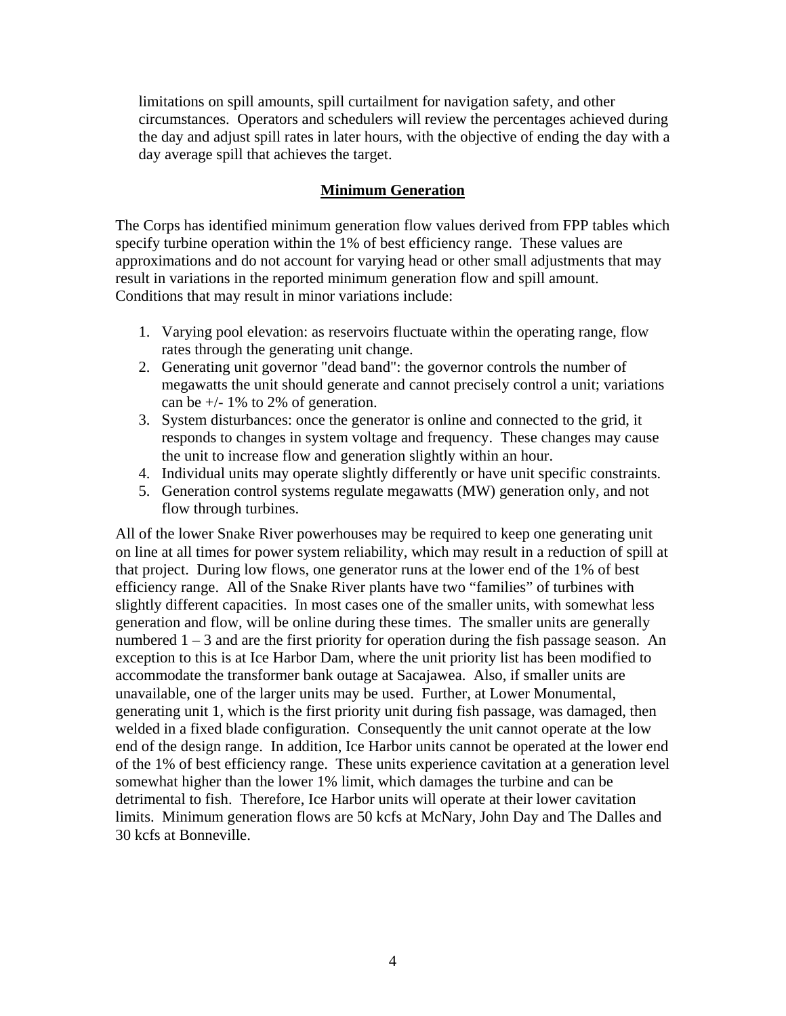limitations on spill amounts, spill curtailment for navigation safety, and other circumstances. Operators and schedulers will review the percentages achieved during the day and adjust spill rates in later hours, with the objective of ending the day with a day average spill that achieves the target.

## **Minimum Generation**

The Corps has identified minimum generation flow values derived from FPP tables which specify turbine operation within the 1% of best efficiency range. These values are approximations and do not account for varying head or other small adjustments that may result in variations in the reported minimum generation flow and spill amount. Conditions that may result in minor variations include:

- 1. Varying pool elevation: as reservoirs fluctuate within the operating range, flow rates through the generating unit change.
- 2. Generating unit governor "dead band": the governor controls the number of megawatts the unit should generate and cannot precisely control a unit; variations can be  $+/- 1\%$  to 2% of generation.
- 3. System disturbances: once the generator is online and connected to the grid, it responds to changes in system voltage and frequency. These changes may cause the unit to increase flow and generation slightly within an hour.
- 4. Individual units may operate slightly differently or have unit specific constraints.
- 5. Generation control systems regulate megawatts (MW) generation only, and not flow through turbines.

All of the lower Snake River powerhouses may be required to keep one generating unit on line at all times for power system reliability, which may result in a reduction of spill at that project. During low flows, one generator runs at the lower end of the 1% of best efficiency range. All of the Snake River plants have two "families" of turbines with slightly different capacities. In most cases one of the smaller units, with somewhat less generation and flow, will be online during these times. The smaller units are generally numbered 1 – 3 and are the first priority for operation during the fish passage season. An exception to this is at Ice Harbor Dam, where the unit priority list has been modified to accommodate the transformer bank outage at Sacajawea. Also, if smaller units are unavailable, one of the larger units may be used. Further, at Lower Monumental, generating unit 1, which is the first priority unit during fish passage, was damaged, then welded in a fixed blade configuration. Consequently the unit cannot operate at the low end of the design range. In addition, Ice Harbor units cannot be operated at the lower end of the 1% of best efficiency range. These units experience cavitation at a generation level somewhat higher than the lower 1% limit, which damages the turbine and can be detrimental to fish. Therefore, Ice Harbor units will operate at their lower cavitation limits. Minimum generation flows are 50 kcfs at McNary, John Day and The Dalles and 30 kcfs at Bonneville.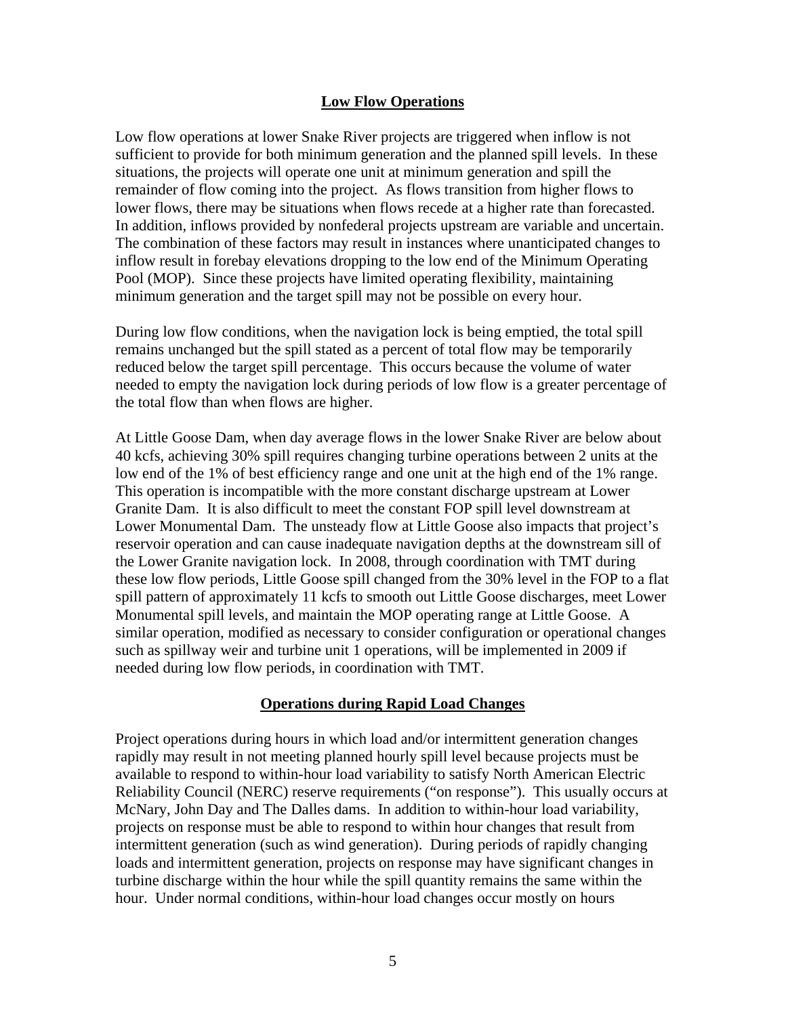#### **Low Flow Operations**

Low flow operations at lower Snake River projects are triggered when inflow is not sufficient to provide for both minimum generation and the planned spill levels. In these situations, the projects will operate one unit at minimum generation and spill the remainder of flow coming into the project. As flows transition from higher flows to lower flows, there may be situations when flows recede at a higher rate than forecasted. In addition, inflows provided by nonfederal projects upstream are variable and uncertain. The combination of these factors may result in instances where unanticipated changes to inflow result in forebay elevations dropping to the low end of the Minimum Operating Pool (MOP). Since these projects have limited operating flexibility, maintaining minimum generation and the target spill may not be possible on every hour.

During low flow conditions, when the navigation lock is being emptied, the total spill remains unchanged but the spill stated as a percent of total flow may be temporarily reduced below the target spill percentage. This occurs because the volume of water needed to empty the navigation lock during periods of low flow is a greater percentage of the total flow than when flows are higher.

At Little Goose Dam, when day average flows in the lower Snake River are below about 40 kcfs, achieving 30% spill requires changing turbine operations between 2 units at the low end of the 1% of best efficiency range and one unit at the high end of the 1% range. This operation is incompatible with the more constant discharge upstream at Lower Granite Dam. It is also difficult to meet the constant FOP spill level downstream at Lower Monumental Dam. The unsteady flow at Little Goose also impacts that project's reservoir operation and can cause inadequate navigation depths at the downstream sill of the Lower Granite navigation lock. In 2008, through coordination with TMT during these low flow periods, Little Goose spill changed from the 30% level in the FOP to a flat spill pattern of approximately 11 kcfs to smooth out Little Goose discharges, meet Lower Monumental spill levels, and maintain the MOP operating range at Little Goose. A similar operation, modified as necessary to consider configuration or operational changes such as spillway weir and turbine unit 1 operations, will be implemented in 2009 if needed during low flow periods, in coordination with TMT.

#### **Operations during Rapid Load Changes**

Project operations during hours in which load and/or intermittent generation changes rapidly may result in not meeting planned hourly spill level because projects must be available to respond to within-hour load variability to satisfy North American Electric Reliability Council (NERC) reserve requirements ("on response"). This usually occurs at McNary, John Day and The Dalles dams. In addition to within-hour load variability, projects on response must be able to respond to within hour changes that result from intermittent generation (such as wind generation). During periods of rapidly changing loads and intermittent generation, projects on response may have significant changes in turbine discharge within the hour while the spill quantity remains the same within the hour. Under normal conditions, within-hour load changes occur mostly on hours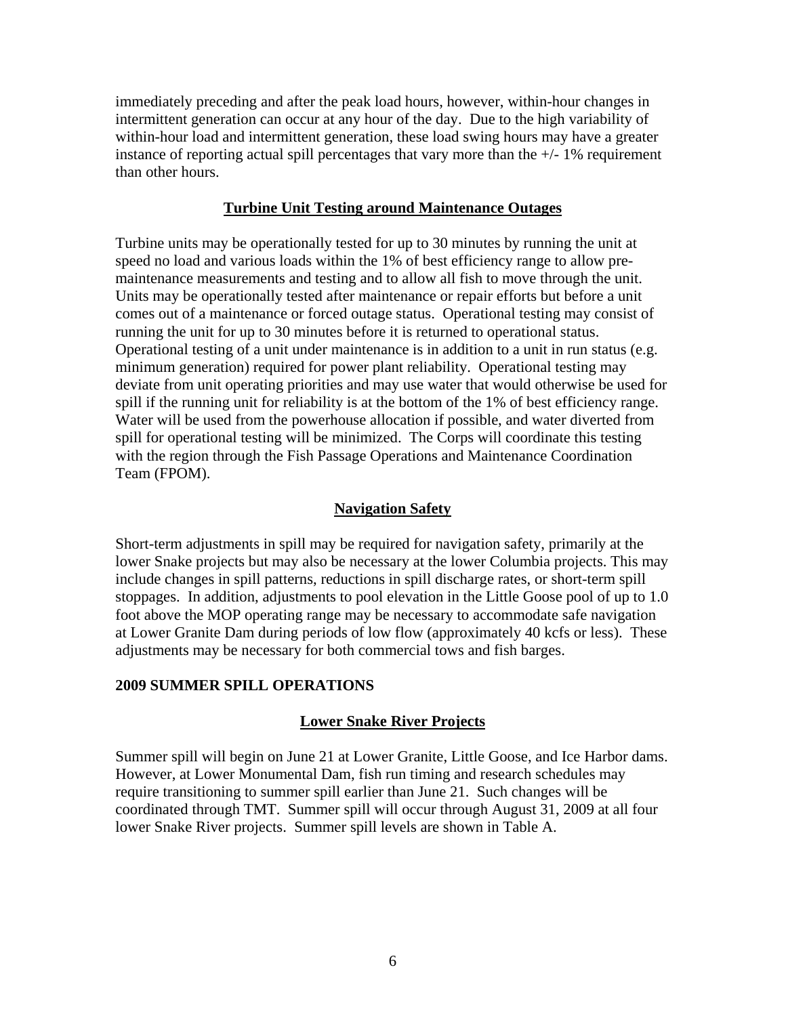immediately preceding and after the peak load hours, however, within-hour changes in intermittent generation can occur at any hour of the day. Due to the high variability of within-hour load and intermittent generation, these load swing hours may have a greater instance of reporting actual spill percentages that vary more than the  $+/-1\%$  requirement than other hours.

#### **Turbine Unit Testing around Maintenance Outages**

Turbine units may be operationally tested for up to 30 minutes by running the unit at speed no load and various loads within the 1% of best efficiency range to allow premaintenance measurements and testing and to allow all fish to move through the unit. Units may be operationally tested after maintenance or repair efforts but before a unit comes out of a maintenance or forced outage status. Operational testing may consist of running the unit for up to 30 minutes before it is returned to operational status. Operational testing of a unit under maintenance is in addition to a unit in run status (e.g. minimum generation) required for power plant reliability. Operational testing may deviate from unit operating priorities and may use water that would otherwise be used for spill if the running unit for reliability is at the bottom of the 1% of best efficiency range. Water will be used from the powerhouse allocation if possible, and water diverted from spill for operational testing will be minimized. The Corps will coordinate this testing with the region through the Fish Passage Operations and Maintenance Coordination Team (FPOM).

#### **Navigation Safety**

Short-term adjustments in spill may be required for navigation safety, primarily at the lower Snake projects but may also be necessary at the lower Columbia projects. This may include changes in spill patterns, reductions in spill discharge rates, or short-term spill stoppages. In addition, adjustments to pool elevation in the Little Goose pool of up to 1.0 foot above the MOP operating range may be necessary to accommodate safe navigation at Lower Granite Dam during periods of low flow (approximately 40 kcfs or less). These adjustments may be necessary for both commercial tows and fish barges.

#### **2009 SUMMER SPILL OPERATIONS**

#### **Lower Snake River Projects**

Summer spill will begin on June 21 at Lower Granite, Little Goose, and Ice Harbor dams. However, at Lower Monumental Dam, fish run timing and research schedules may require transitioning to summer spill earlier than June 21. Such changes will be coordinated through TMT. Summer spill will occur through August 31, 2009 at all four lower Snake River projects. Summer spill levels are shown in Table A.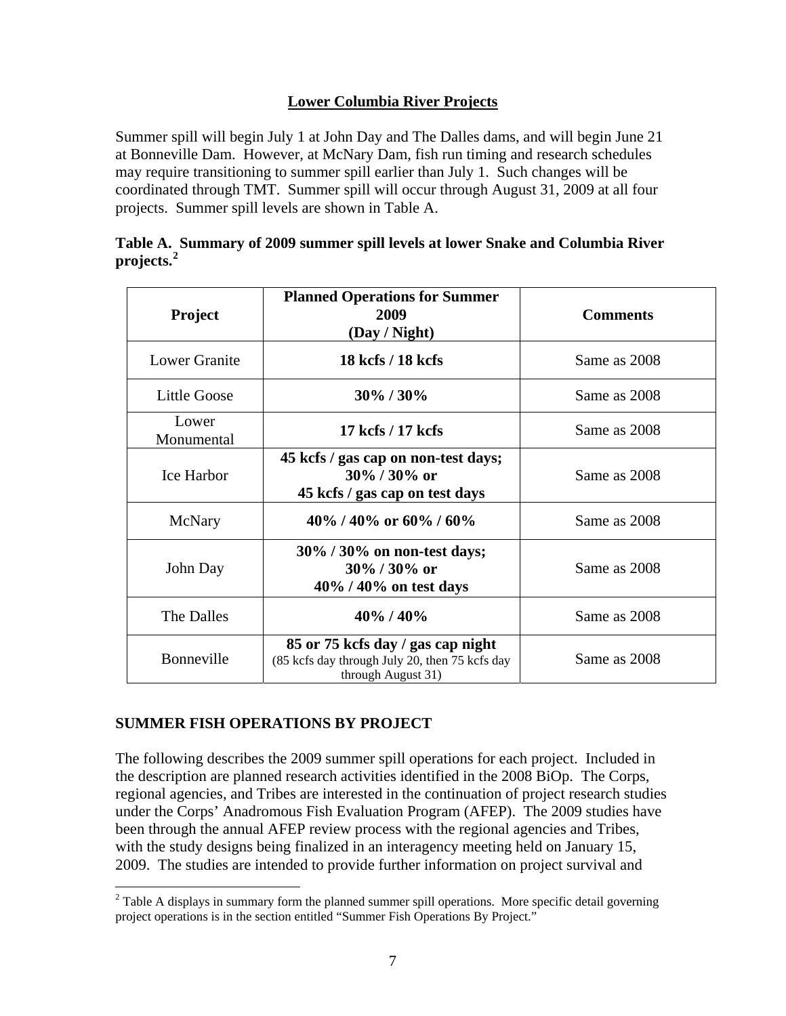# **Lower Columbia River Projects**

Summer spill will begin July 1 at John Day and The Dalles dams, and will begin June 21 at Bonneville Dam. However, at McNary Dam, fish run timing and research schedules may require transitioning to summer spill earlier than July 1. Such changes will be coordinated through TMT. Summer spill will occur through August 31, 2009 at all four projects. Summer spill levels are shown in Table A.

|                | Table A. Summary of 2009 summer spill levels at lower Snake and Columbia River |  |  |
|----------------|--------------------------------------------------------------------------------|--|--|
| projects. $^2$ |                                                                                |  |  |

| <b>Project</b>       | <b>Planned Operations for Summer</b><br>2009<br>(Day / Night)                                             | <b>Comments</b> |
|----------------------|-----------------------------------------------------------------------------------------------------------|-----------------|
| <b>Lower Granite</b> | 18 kcfs / 18 kcfs                                                                                         | Same as 2008    |
| <b>Little Goose</b>  | $30\%$ / $30\%$                                                                                           | Same as 2008    |
| Lower<br>Monumental  | 17 kcfs / 17 kcfs                                                                                         | Same as 2008    |
| Ice Harbor           | 45 kcfs / gas cap on non-test days;<br>$30\%$ / 30% or<br>45 kcfs / gas cap on test days                  | Same as 2008    |
| McNary               | 40\% / 40\% or 60\% / 60\%                                                                                | Same as 2008    |
| John Day             | 30% / 30% on non-test days;<br>30% / 30% or<br>$40\%$ / $40\%$ on test days                               | Same as 2008    |
| The Dalles           | $40\%$ / $40\%$                                                                                           | Same as 2008    |
| Bonneville           | 85 or 75 kcfs day / gas cap night<br>(85 kcfs day through July 20, then 75 kcfs day<br>through August 31) | Same as 2008    |

# **SUMMER FISH OPERATIONS BY PROJECT**

The following describes the 2009 summer spill operations for each project. Included in the description are planned research activities identified in the 2008 BiOp.The Corps, regional agencies, and Tribes are interested in the continuation of project research studies under the Corps' Anadromous Fish Evaluation Program (AFEP). The 2009 studies have been through the annual AFEP review process with the regional agencies and Tribes, with the study designs being finalized in an interagency meeting held on January 15, 2009. The studies are intended to provide further information on project survival and

<span id="page-26-0"></span><sup>&</sup>lt;sup>2</sup> Table A displays in summary form the planned summer spill operations. More specific detail governing project operations is in the section entitled "Summer Fish Operations By Project."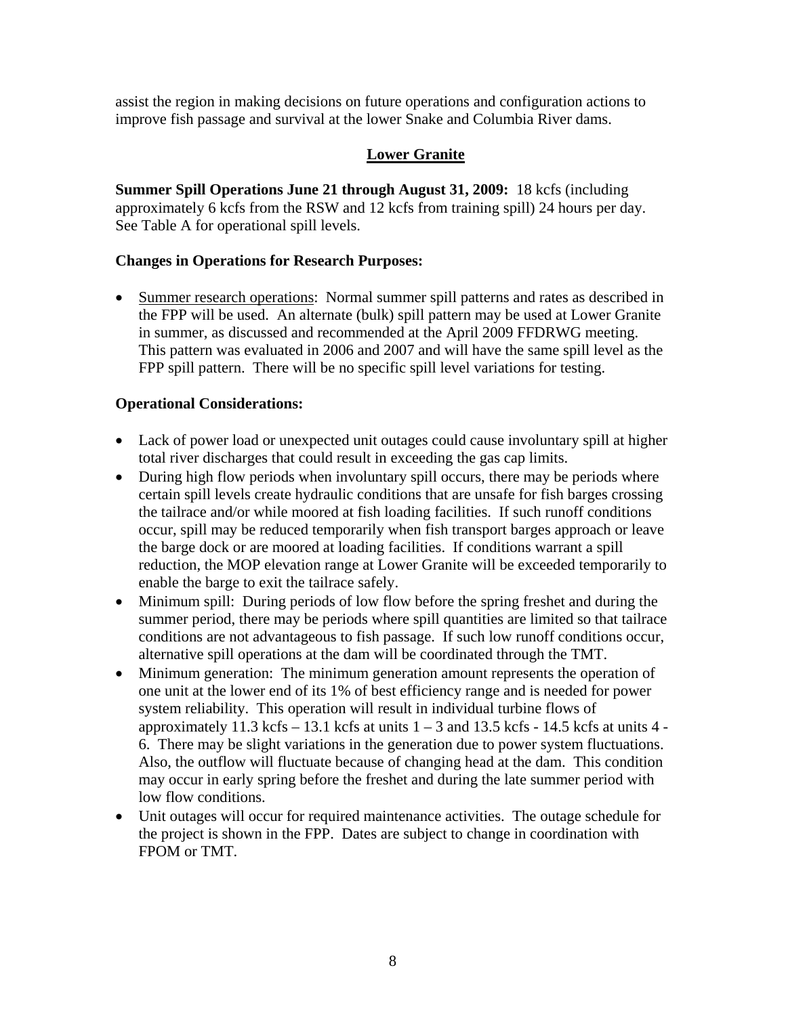assist the region in making decisions on future operations and configuration actions to improve fish passage and survival at the lower Snake and Columbia River dams.

# **Lower Granite**

**Summer Spill Operations June 21 through August 31, 2009:** 18 kcfs (including approximately 6 kcfs from the RSW and 12 kcfs from training spill) 24 hours per day. See Table A for operational spill levels.

## **Changes in Operations for Research Purposes:**

 Summer research operations: Normal summer spill patterns and rates as described in the FPP will be used. An alternate (bulk) spill pattern may be used at Lower Granite in summer, as discussed and recommended at the April 2009 FFDRWG meeting. This pattern was evaluated in 2006 and 2007 and will have the same spill level as the FPP spill pattern. There will be no specific spill level variations for testing.

- Lack of power load or unexpected unit outages could cause involuntary spill at higher total river discharges that could result in exceeding the gas cap limits.
- During high flow periods when involuntary spill occurs, there may be periods where certain spill levels create hydraulic conditions that are unsafe for fish barges crossing the tailrace and/or while moored at fish loading facilities. If such runoff conditions occur, spill may be reduced temporarily when fish transport barges approach or leave the barge dock or are moored at loading facilities. If conditions warrant a spill reduction, the MOP elevation range at Lower Granite will be exceeded temporarily to enable the barge to exit the tailrace safely.
- Minimum spill: During periods of low flow before the spring freshet and during the summer period, there may be periods where spill quantities are limited so that tailrace conditions are not advantageous to fish passage. If such low runoff conditions occur, alternative spill operations at the dam will be coordinated through the TMT.
- Minimum generation: The minimum generation amount represents the operation of one unit at the lower end of its 1% of best efficiency range and is needed for power system reliability. This operation will result in individual turbine flows of approximately 11.3 kcfs – 13.1 kcfs at units  $1 - 3$  and 13.5 kcfs - 14.5 kcfs at units 4 -6. There may be slight variations in the generation due to power system fluctuations. Also, the outflow will fluctuate because of changing head at the dam. This condition may occur in early spring before the freshet and during the late summer period with low flow conditions.
- Unit outages will occur for required maintenance activities. The outage schedule for the project is shown in the FPP. Dates are subject to change in coordination with FPOM or TMT.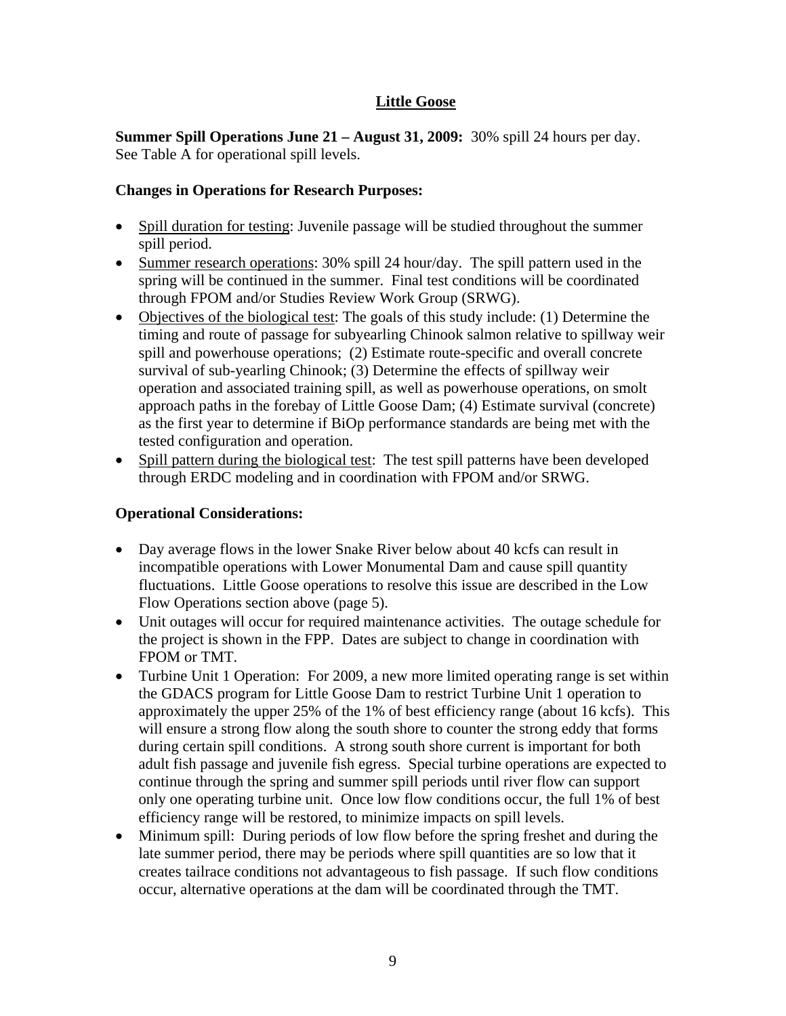# **Little Goose**

**Summer Spill Operations June 21 – August 31, 2009:** 30% spill 24 hours per day. See Table A for operational spill levels.

# **Changes in Operations for Research Purposes:**

- Spill duration for testing: Juvenile passage will be studied throughout the summer spill period.
- Summer research operations: 30% spill 24 hour/day. The spill pattern used in the spring will be continued in the summer. Final test conditions will be coordinated through FPOM and/or Studies Review Work Group (SRWG).
- Objectives of the biological test: The goals of this study include: (1) Determine the timing and route of passage for subyearling Chinook salmon relative to spillway weir spill and powerhouse operations; (2) Estimate route-specific and overall concrete survival of sub-yearling Chinook; (3) Determine the effects of spillway weir operation and associated training spill, as well as powerhouse operations, on smolt approach paths in the forebay of Little Goose Dam; (4) Estimate survival (concrete) as the first year to determine if BiOp performance standards are being met with the tested configuration and operation.
- Spill pattern during the biological test: The test spill patterns have been developed through ERDC modeling and in coordination with FPOM and/or SRWG.

- Day average flows in the lower Snake River below about 40 kcfs can result in incompatible operations with Lower Monumental Dam and cause spill quantity fluctuations. Little Goose operations to resolve this issue are described in the Low Flow Operations section above (page 5).
- Unit outages will occur for required maintenance activities. The outage schedule for the project is shown in the FPP. Dates are subject to change in coordination with FPOM or TMT.
- Turbine Unit 1 Operation: For 2009, a new more limited operating range is set within the GDACS program for Little Goose Dam to restrict Turbine Unit 1 operation to approximately the upper 25% of the 1% of best efficiency range (about 16 kcfs). This will ensure a strong flow along the south shore to counter the strong eddy that forms during certain spill conditions. A strong south shore current is important for both adult fish passage and juvenile fish egress. Special turbine operations are expected to continue through the spring and summer spill periods until river flow can support only one operating turbine unit. Once low flow conditions occur, the full 1% of best efficiency range will be restored, to minimize impacts on spill levels.
- Minimum spill: During periods of low flow before the spring freshet and during the late summer period, there may be periods where spill quantities are so low that it creates tailrace conditions not advantageous to fish passage. If such flow conditions occur, alternative operations at the dam will be coordinated through the TMT.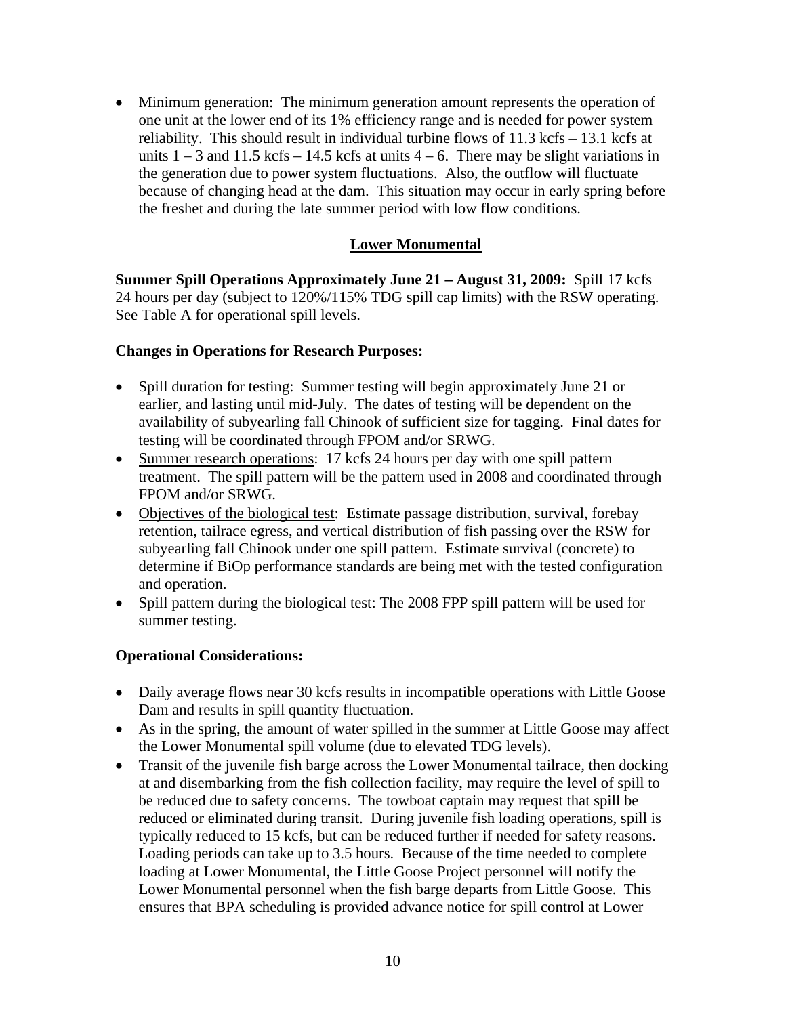Minimum generation: The minimum generation amount represents the operation of one unit at the lower end of its 1% efficiency range and is needed for power system reliability. This should result in individual turbine flows of 11.3 kcfs – 13.1 kcfs at units  $1 - 3$  and  $11.5$  kcfs – 14.5 kcfs at units  $4 - 6$ . There may be slight variations in the generation due to power system fluctuations. Also, the outflow will fluctuate because of changing head at the dam. This situation may occur in early spring before the freshet and during the late summer period with low flow conditions.

# **Lower Monumental**

**Summer Spill Operations Approximately June 21 – August 31, 2009:** Spill 17 kcfs 24 hours per day (subject to 120%/115% TDG spill cap limits) with the RSW operating. See Table A for operational spill levels.

### **Changes in Operations for Research Purposes:**

- Spill duration for testing: Summer testing will begin approximately June 21 or earlier, and lasting until mid-July. The dates of testing will be dependent on the availability of subyearling fall Chinook of sufficient size for tagging. Final dates for testing will be coordinated through FPOM and/or SRWG.
- Summer research operations: 17 kcfs 24 hours per day with one spill pattern treatment. The spill pattern will be the pattern used in 2008 and coordinated through FPOM and/or SRWG.
- Objectives of the biological test: Estimate passage distribution, survival, forebay retention, tailrace egress, and vertical distribution of fish passing over the RSW for subyearling fall Chinook under one spill pattern. Estimate survival (concrete) to determine if BiOp performance standards are being met with the tested configuration and operation.
- Spill pattern during the biological test: The 2008 FPP spill pattern will be used for summer testing.

- Daily average flows near 30 kcfs results in incompatible operations with Little Goose Dam and results in spill quantity fluctuation.
- As in the spring, the amount of water spilled in the summer at Little Goose may affect the Lower Monumental spill volume (due to elevated TDG levels).
- Transit of the juvenile fish barge across the Lower Monumental tailrace, then docking at and disembarking from the fish collection facility, may require the level of spill to be reduced due to safety concerns. The towboat captain may request that spill be reduced or eliminated during transit. During juvenile fish loading operations, spill is typically reduced to 15 kcfs, but can be reduced further if needed for safety reasons. Loading periods can take up to 3.5 hours. Because of the time needed to complete loading at Lower Monumental, the Little Goose Project personnel will notify the Lower Monumental personnel when the fish barge departs from Little Goose. This ensures that BPA scheduling is provided advance notice for spill control at Lower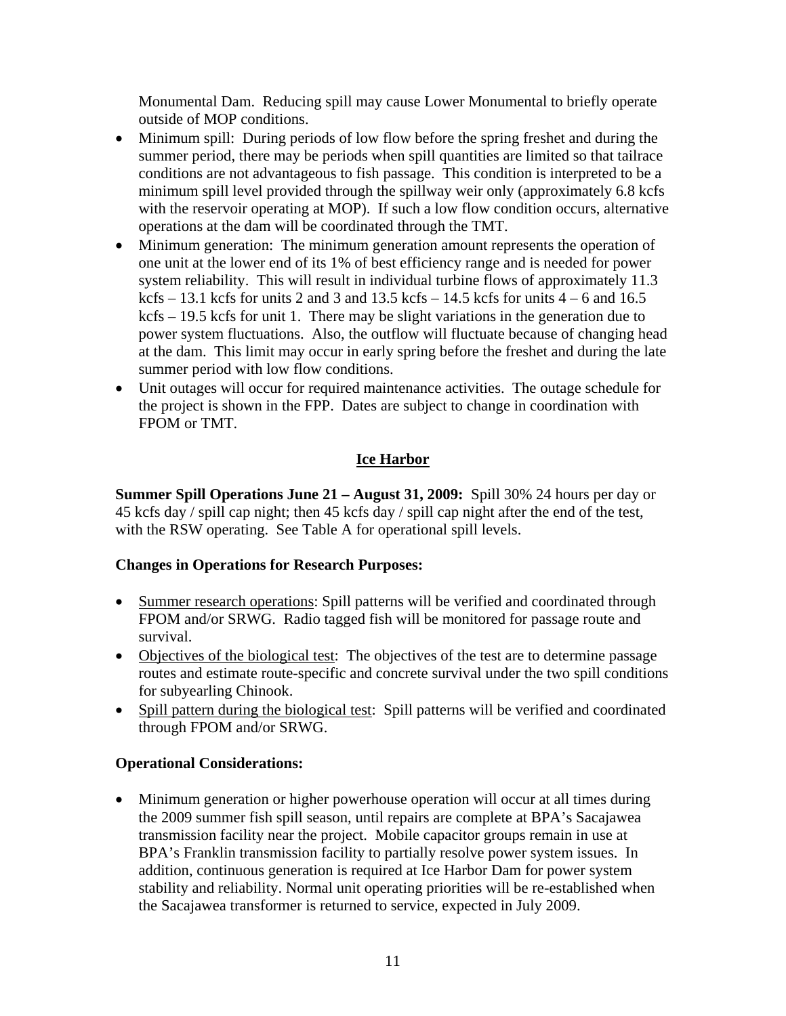Monumental Dam. Reducing spill may cause Lower Monumental to briefly operate outside of MOP conditions.

- Minimum spill: During periods of low flow before the spring freshet and during the summer period, there may be periods when spill quantities are limited so that tailrace conditions are not advantageous to fish passage. This condition is interpreted to be a minimum spill level provided through the spillway weir only (approximately 6.8 kcfs with the reservoir operating at MOP). If such a low flow condition occurs, alternative operations at the dam will be coordinated through the TMT.
- Minimum generation: The minimum generation amount represents the operation of one unit at the lower end of its 1% of best efficiency range and is needed for power system reliability. This will result in individual turbine flows of approximately 11.3 kcfs – 13.1 kcfs for units 2 and 3 and 13.5 kcfs – 14.5 kcfs for units  $4 - 6$  and 16.5 kcfs – 19.5 kcfs for unit 1. There may be slight variations in the generation due to power system fluctuations. Also, the outflow will fluctuate because of changing head at the dam. This limit may occur in early spring before the freshet and during the late summer period with low flow conditions.
- Unit outages will occur for required maintenance activities. The outage schedule for the project is shown in the FPP. Dates are subject to change in coordination with FPOM or TMT.

# **Ice Harbor**

**Summer Spill Operations June 21 – August 31, 2009:** Spill 30% 24 hours per day or 45 kcfs day / spill cap night; then 45 kcfs day / spill cap night after the end of the test, with the RSW operating. See Table A for operational spill levels.

# **Changes in Operations for Research Purposes:**

- Summer research operations: Spill patterns will be verified and coordinated through FPOM and/or SRWG. Radio tagged fish will be monitored for passage route and survival.
- Objectives of the biological test: The objectives of the test are to determine passage routes and estimate route-specific and concrete survival under the two spill conditions for subyearling Chinook.
- Spill pattern during the biological test:Spill patterns will be verified and coordinated through FPOM and/or SRWG.

# **Operational Considerations:**

• Minimum generation or higher powerhouse operation will occur at all times during the 2009 summer fish spill season, until repairs are complete at BPA's Sacajawea transmission facility near the project. Mobile capacitor groups remain in use at BPA's Franklin transmission facility to partially resolve power system issues. In addition, continuous generation is required at Ice Harbor Dam for power system stability and reliability. Normal unit operating priorities will be re-established when the Sacajawea transformer is returned to service, expected in July 2009.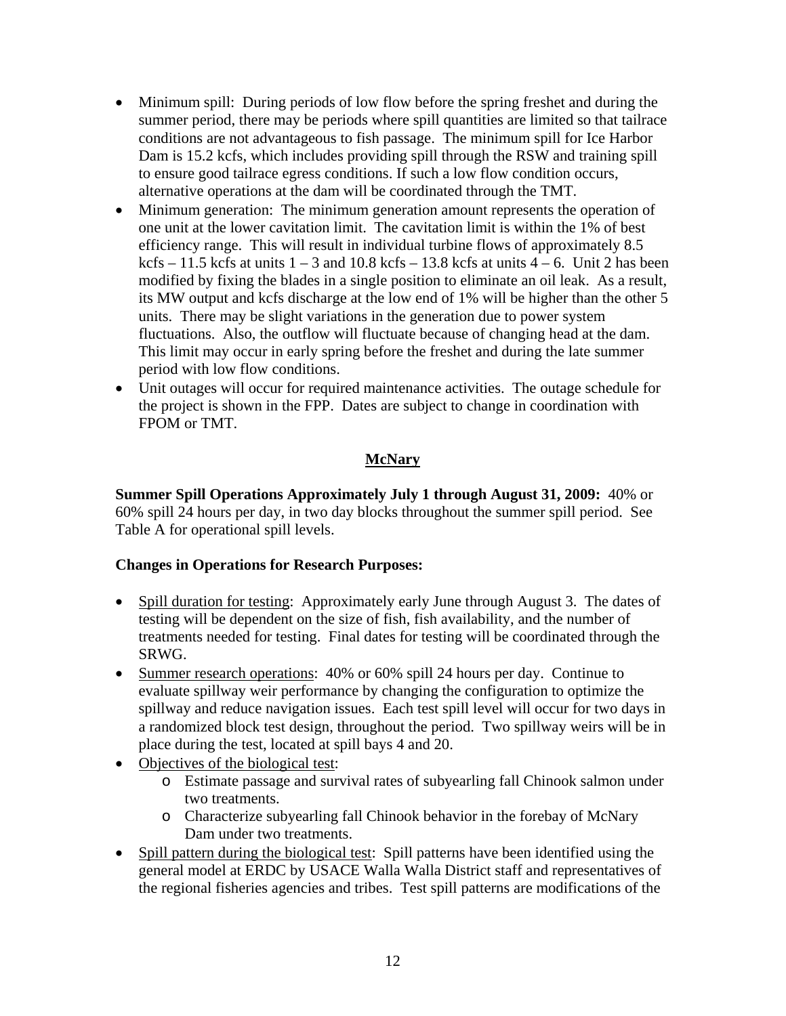- Minimum spill: During periods of low flow before the spring freshet and during the summer period, there may be periods where spill quantities are limited so that tailrace conditions are not advantageous to fish passage. The minimum spill for Ice Harbor Dam is 15.2 kcfs, which includes providing spill through the RSW and training spill to ensure good tailrace egress conditions. If such a low flow condition occurs, alternative operations at the dam will be coordinated through the TMT.
- Minimum generation: The minimum generation amount represents the operation of one unit at the lower cavitation limit. The cavitation limit is within the 1% of best efficiency range. This will result in individual turbine flows of approximately 8.5 kcfs – 11.5 kcfs at units  $1 - 3$  and  $10.8$  kcfs – 13.8 kcfs at units  $4 - 6$ . Unit 2 has been modified by fixing the blades in a single position to eliminate an oil leak. As a result, its MW output and kcfs discharge at the low end of 1% will be higher than the other 5 units. There may be slight variations in the generation due to power system fluctuations. Also, the outflow will fluctuate because of changing head at the dam. This limit may occur in early spring before the freshet and during the late summer period with low flow conditions.
- Unit outages will occur for required maintenance activities. The outage schedule for the project is shown in the FPP. Dates are subject to change in coordination with FPOM or TMT.

# **McNary**

**Summer Spill Operations Approximately July 1 through August 31, 2009:** 40% or 60% spill 24 hours per day, in two day blocks throughout the summer spill period. See Table A for operational spill levels.

# **Changes in Operations for Research Purposes:**

- Spill duration for testing: Approximately early June through August 3. The dates of testing will be dependent on the size of fish, fish availability, and the number of treatments needed for testing. Final dates for testing will be coordinated through the SRWG.
- Summer research operations: 40% or 60% spill 24 hours per day. Continue to evaluate spillway weir performance by changing the configuration to optimize the spillway and reduce navigation issues. Each test spill level will occur for two days in a randomized block test design, throughout the period. Two spillway weirs will be in place during the test, located at spill bays 4 and 20.
- Objectives of the biological test:
	- o Estimate passage and survival rates of subyearling fall Chinook salmon under two treatments.
	- o Characterize subyearling fall Chinook behavior in the forebay of McNary Dam under two treatments.
- Spill pattern during the biological test: Spill patterns have been identified using the general model at ERDC by USACE Walla Walla District staff and representatives of the regional fisheries agencies and tribes. Test spill patterns are modifications of the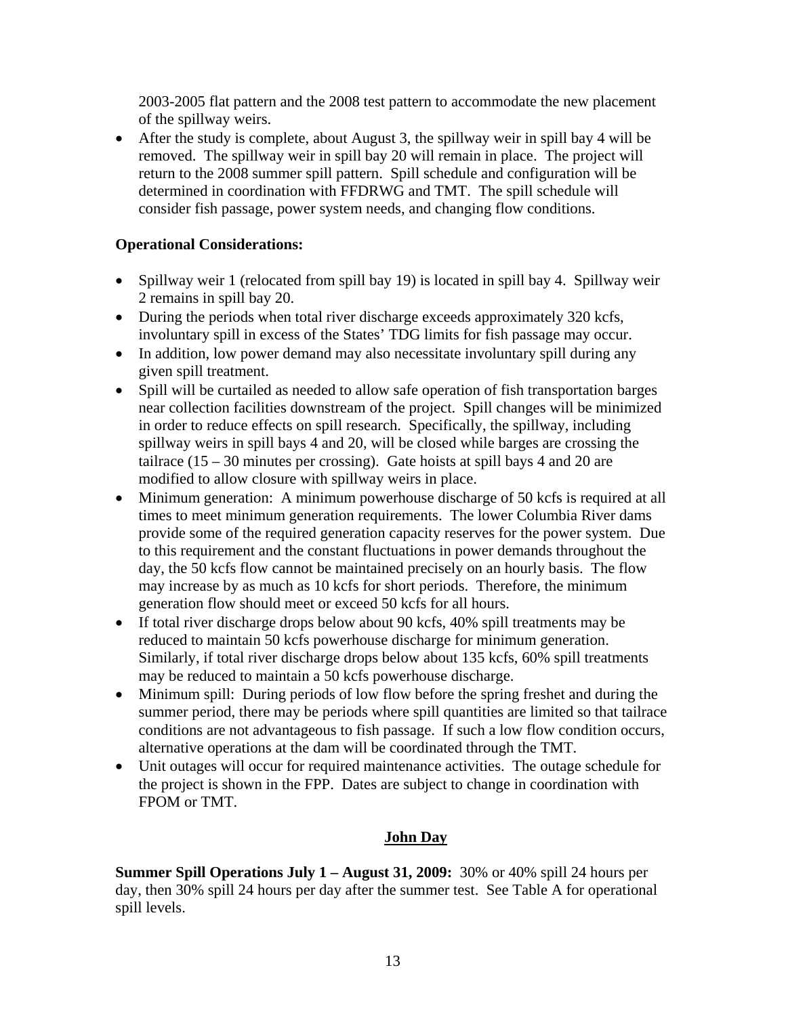2003-2005 flat pattern and the 2008 test pattern to accommodate the new placement of the spillway weirs.

 After the study is complete, about August 3, the spillway weir in spill bay 4 will be removed. The spillway weir in spill bay 20 will remain in place. The project will return to the 2008 summer spill pattern. Spill schedule and configuration will be determined in coordination with FFDRWG and TMT. The spill schedule will consider fish passage, power system needs, and changing flow conditions.

# **Operational Considerations:**

- Spillway weir 1 (relocated from spill bay 19) is located in spill bay 4. Spillway weir 2 remains in spill bay 20.
- During the periods when total river discharge exceeds approximately 320 kcfs, involuntary spill in excess of the States' TDG limits for fish passage may occur.
- In addition, low power demand may also necessitate involuntary spill during any given spill treatment.
- Spill will be curtailed as needed to allow safe operation of fish transportation barges near collection facilities downstream of the project. Spill changes will be minimized in order to reduce effects on spill research. Specifically, the spillway, including spillway weirs in spill bays 4 and 20, will be closed while barges are crossing the tailrace  $(15 - 30$  minutes per crossing). Gate hoists at spill bays 4 and 20 are modified to allow closure with spillway weirs in place.
- Minimum generation: A minimum powerhouse discharge of 50 kcfs is required at all times to meet minimum generation requirements. The lower Columbia River dams provide some of the required generation capacity reserves for the power system. Due to this requirement and the constant fluctuations in power demands throughout the day, the 50 kcfs flow cannot be maintained precisely on an hourly basis. The flow may increase by as much as 10 kcfs for short periods. Therefore, the minimum generation flow should meet or exceed 50 kcfs for all hours.
- If total river discharge drops below about 90 kcfs, 40% spill treatments may be reduced to maintain 50 kcfs powerhouse discharge for minimum generation. Similarly, if total river discharge drops below about 135 kcfs, 60% spill treatments may be reduced to maintain a 50 kcfs powerhouse discharge.
- Minimum spill: During periods of low flow before the spring freshet and during the summer period, there may be periods where spill quantities are limited so that tailrace conditions are not advantageous to fish passage. If such a low flow condition occurs, alternative operations at the dam will be coordinated through the TMT.
- Unit outages will occur for required maintenance activities. The outage schedule for the project is shown in the FPP. Dates are subject to change in coordination with FPOM or TMT.

# **John Day**

**Summer Spill Operations July 1 – August 31, 2009:** 30% or 40% spill 24 hours per day, then 30% spill 24 hours per day after the summer test. See Table A for operational spill levels.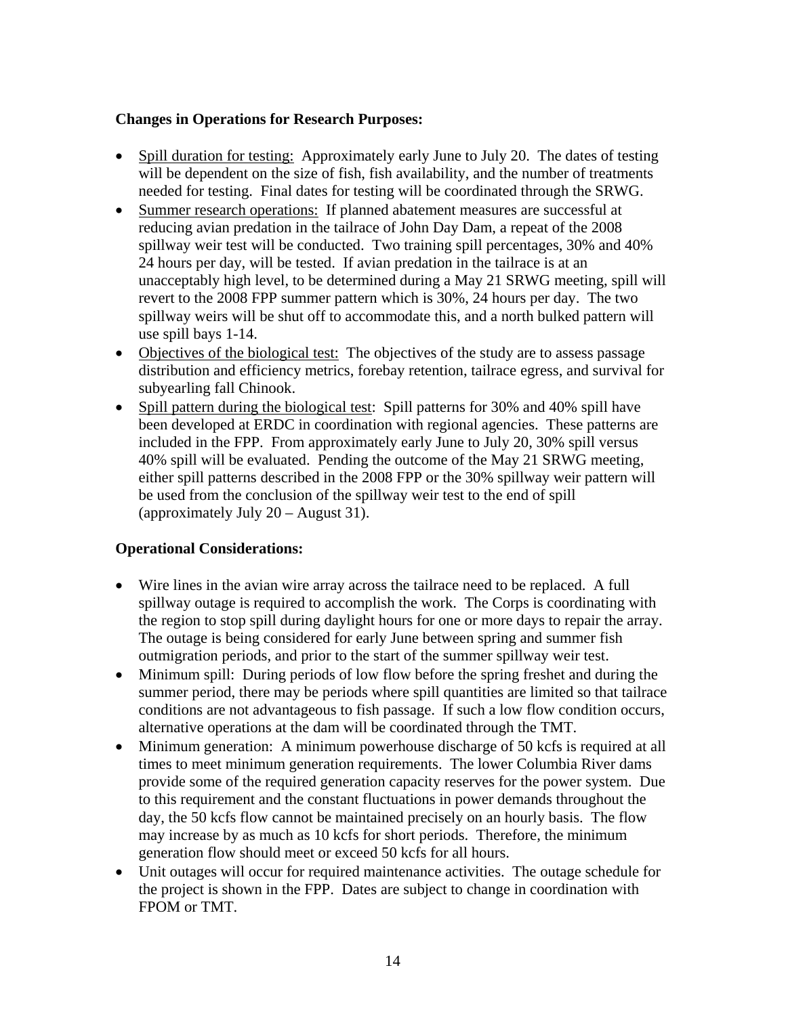## **Changes in Operations for Research Purposes:**

- Spill duration for testing: Approximately early June to July 20. The dates of testing will be dependent on the size of fish, fish availability, and the number of treatments needed for testing. Final dates for testing will be coordinated through the SRWG.
- Summer research operations: If planned abatement measures are successful at reducing avian predation in the tailrace of John Day Dam, a repeat of the 2008 spillway weir test will be conducted. Two training spill percentages, 30% and 40% 24 hours per day, will be tested. If avian predation in the tailrace is at an unacceptably high level, to be determined during a May 21 SRWG meeting, spill will revert to the 2008 FPP summer pattern which is 30%, 24 hours per day. The two spillway weirs will be shut off to accommodate this, and a north bulked pattern will use spill bays 1-14.
- Objectives of the biological test: The objectives of the study are to assess passage distribution and efficiency metrics, forebay retention, tailrace egress, and survival for subyearling fall Chinook.
- Spill pattern during the biological test: Spill patterns for 30% and 40% spill have been developed at ERDC in coordination with regional agencies. These patterns are included in the FPP. From approximately early June to July 20, 30% spill versus 40% spill will be evaluated. Pending the outcome of the May 21 SRWG meeting, either spill patterns described in the 2008 FPP or the 30% spillway weir pattern will be used from the conclusion of the spillway weir test to the end of spill (approximately July 20 – August 31).

- Wire lines in the avian wire array across the tailrace need to be replaced. A full spillway outage is required to accomplish the work. The Corps is coordinating with the region to stop spill during daylight hours for one or more days to repair the array. The outage is being considered for early June between spring and summer fish outmigration periods, and prior to the start of the summer spillway weir test.
- Minimum spill: During periods of low flow before the spring freshet and during the summer period, there may be periods where spill quantities are limited so that tailrace conditions are not advantageous to fish passage. If such a low flow condition occurs, alternative operations at the dam will be coordinated through the TMT.
- Minimum generation: A minimum powerhouse discharge of 50 kcfs is required at all times to meet minimum generation requirements. The lower Columbia River dams provide some of the required generation capacity reserves for the power system. Due to this requirement and the constant fluctuations in power demands throughout the day, the 50 kcfs flow cannot be maintained precisely on an hourly basis. The flow may increase by as much as 10 kcfs for short periods. Therefore, the minimum generation flow should meet or exceed 50 kcfs for all hours.
- Unit outages will occur for required maintenance activities. The outage schedule for the project is shown in the FPP. Dates are subject to change in coordination with FPOM or TMT.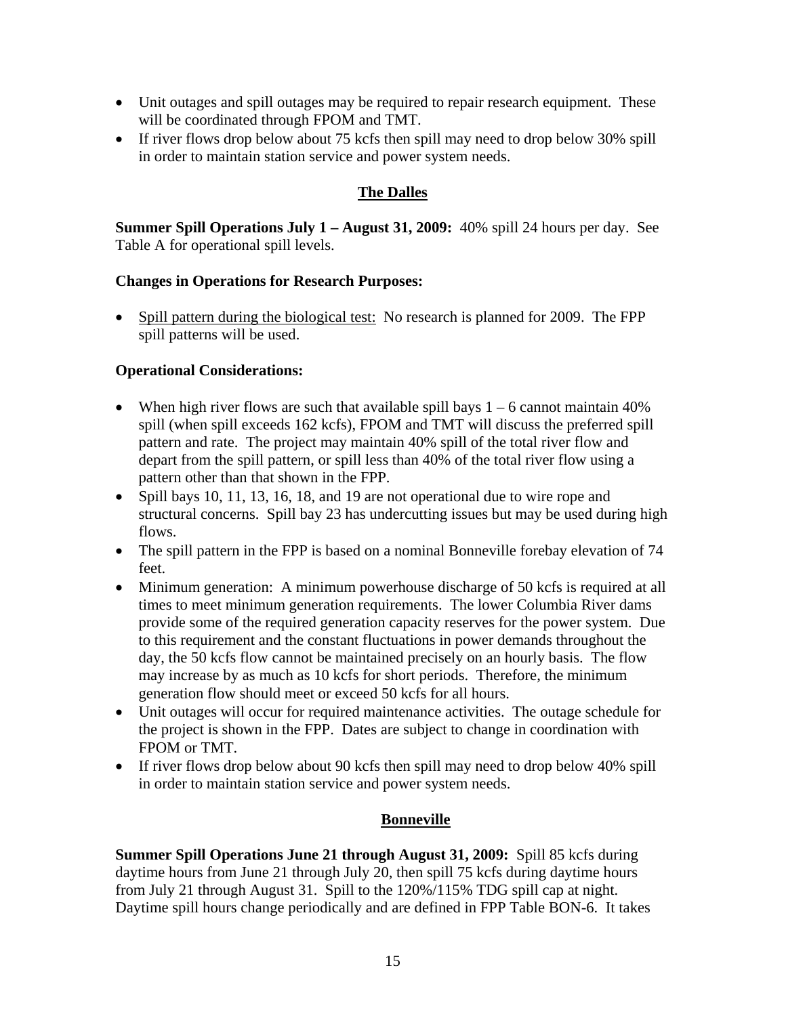- Unit outages and spill outages may be required to repair research equipment. These will be coordinated through FPOM and TMT.
- If river flows drop below about 75 kcfs then spill may need to drop below 30% spill in order to maintain station service and power system needs.

# **The Dalles**

**Summer Spill Operations July 1 – August 31, 2009:** 40% spill 24 hours per day. See Table A for operational spill levels.

### **Changes in Operations for Research Purposes:**

• Spill pattern during the biological test: No research is planned for 2009. The FPP spill patterns will be used.

# **Operational Considerations:**

- When high river flows are such that available spill bays  $1 6$  cannot maintain 40% spill (when spill exceeds 162 kcfs), FPOM and TMT will discuss the preferred spill pattern and rate. The project may maintain 40% spill of the total river flow and depart from the spill pattern, or spill less than 40% of the total river flow using a pattern other than that shown in the FPP.
- Spill bays 10, 11, 13, 16, 18, and 19 are not operational due to wire rope and structural concerns. Spill bay 23 has undercutting issues but may be used during high flows.
- The spill pattern in the FPP is based on a nominal Bonneville forebay elevation of 74 feet.
- Minimum generation: A minimum powerhouse discharge of 50 kcfs is required at all times to meet minimum generation requirements. The lower Columbia River dams provide some of the required generation capacity reserves for the power system. Due to this requirement and the constant fluctuations in power demands throughout the day, the 50 kcfs flow cannot be maintained precisely on an hourly basis. The flow may increase by as much as 10 kcfs for short periods. Therefore, the minimum generation flow should meet or exceed 50 kcfs for all hours.
- Unit outages will occur for required maintenance activities. The outage schedule for the project is shown in the FPP. Dates are subject to change in coordination with FPOM or TMT.
- If river flows drop below about 90 kcfs then spill may need to drop below 40% spill in order to maintain station service and power system needs.

# **Bonneville**

**Summer Spill Operations June 21 through August 31, 2009:** Spill 85 kcfs during daytime hours from June 21 through July 20, then spill 75 kcfs during daytime hours from July 21 through August 31. Spill to the 120%/115% TDG spill cap at night. Daytime spill hours change periodically and are defined in FPP Table BON-6. It takes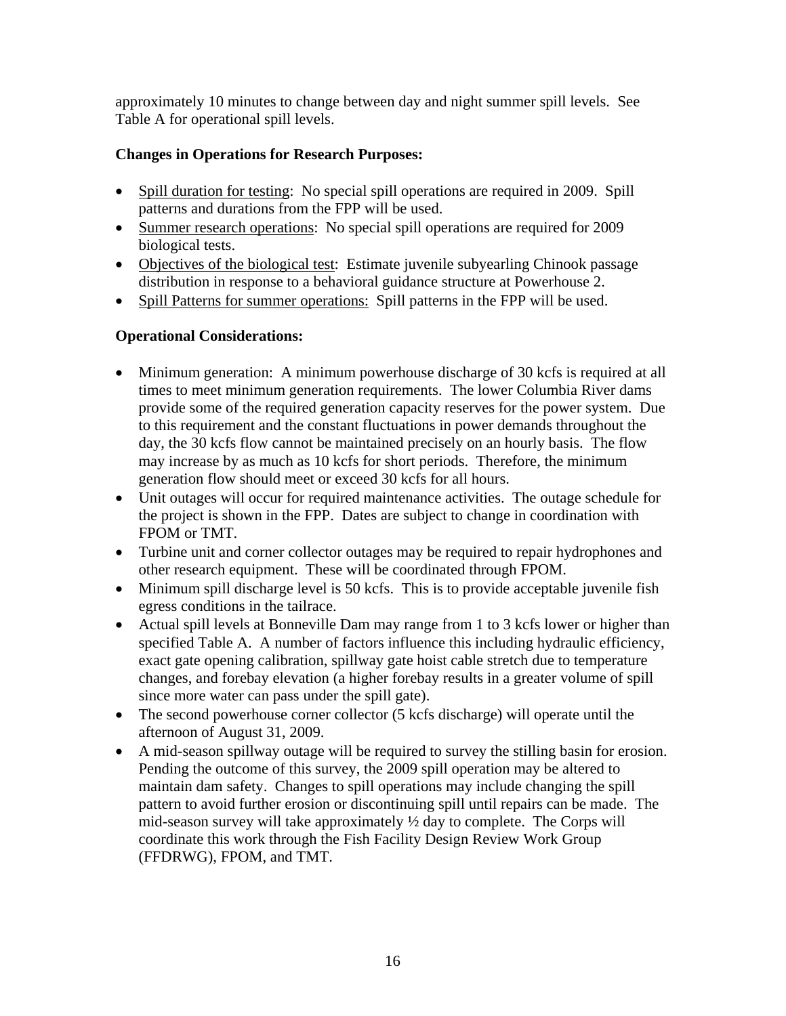approximately 10 minutes to change between day and night summer spill levels. See Table A for operational spill levels.

# **Changes in Operations for Research Purposes:**

- Spill duration for testing: No special spill operations are required in 2009. Spill patterns and durations from the FPP will be used.
- Summer research operations: No special spill operations are required for 2009 biological tests.
- Objectives of the biological test: Estimate juvenile subvearling Chinook passage distribution in response to a behavioral guidance structure at Powerhouse 2.
- Spill Patterns for summer operations: Spill patterns in the FPP will be used.

- Minimum generation: A minimum powerhouse discharge of 30 kcfs is required at all times to meet minimum generation requirements. The lower Columbia River dams provide some of the required generation capacity reserves for the power system. Due to this requirement and the constant fluctuations in power demands throughout the day, the 30 kcfs flow cannot be maintained precisely on an hourly basis. The flow may increase by as much as 10 kcfs for short periods. Therefore, the minimum generation flow should meet or exceed 30 kcfs for all hours.
- Unit outages will occur for required maintenance activities. The outage schedule for the project is shown in the FPP. Dates are subject to change in coordination with FPOM or TMT.
- Turbine unit and corner collector outages may be required to repair hydrophones and other research equipment. These will be coordinated through FPOM.
- Minimum spill discharge level is 50 kcfs. This is to provide acceptable juvenile fish egress conditions in the tailrace.
- Actual spill levels at Bonneville Dam may range from 1 to 3 kcfs lower or higher than specified Table A. A number of factors influence this including hydraulic efficiency, exact gate opening calibration, spillway gate hoist cable stretch due to temperature changes, and forebay elevation (a higher forebay results in a greater volume of spill since more water can pass under the spill gate).
- The second powerhouse corner collector (5 kcfs discharge) will operate until the afternoon of August 31, 2009.
- A mid-season spillway outage will be required to survey the stilling basin for erosion. Pending the outcome of this survey, the 2009 spill operation may be altered to maintain dam safety. Changes to spill operations may include changing the spill pattern to avoid further erosion or discontinuing spill until repairs can be made. The mid-season survey will take approximately  $\frac{1}{2}$  day to complete. The Corps will coordinate this work through the Fish Facility Design Review Work Group (FFDRWG), FPOM, and TMT.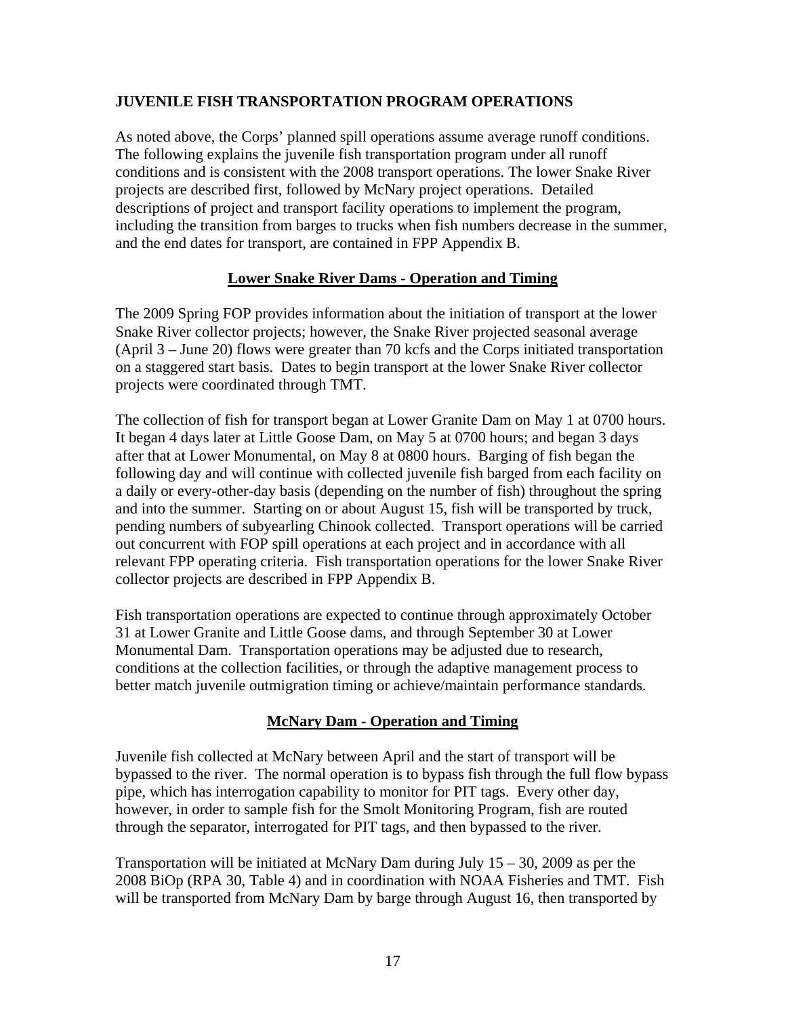# **JUVENILE FISH TRANSPORTATION PROGRAM OPERATIONS**

As noted above, the Corps' planned spill operations assume average runoff conditions. The following explains the juvenile fish transportation program under all runoff conditions and is consistent with the 2008 transport operations. The lower Snake River projects are described first, followed by McNary project operations. Detailed descriptions of project and transport facility operations to implement the program, including the transition from barges to trucks when fish numbers decrease in the summer, and the end dates for transport, are contained in FPP Appendix B.

# **Lower Snake River Dams - Operation and Timing**

The 2009 Spring FOP provides information about the initiation of transport at the lower Snake River collector projects; however, the Snake River projected seasonal average (April 3 – June 20) flows were greater than 70 kcfs and the Corps initiated transportation on a staggered start basis. Dates to begin transport at the lower Snake River collector projects were coordinated through TMT.

The collection of fish for transport began at Lower Granite Dam on May 1 at 0700 hours. It began 4 days later at Little Goose Dam, on May 5 at 0700 hours; and began 3 days after that at Lower Monumental, on May 8 at 0800 hours. Barging of fish began the following day and will continue with collected juvenile fish barged from each facility on a daily or every-other-day basis (depending on the number of fish) throughout the spring and into the summer. Starting on or about August 15, fish will be transported by truck, pending numbers of subyearling Chinook collected. Transport operations will be carried out concurrent with FOP spill operations at each project and in accordance with all relevant FPP operating criteria. Fish transportation operations for the lower Snake River collector projects are described in FPP Appendix B.

Fish transportation operations are expected to continue through approximately October 31 at Lower Granite and Little Goose dams, and through September 30 at Lower Monumental Dam. Transportation operations may be adjusted due to research, conditions at the collection facilities, or through the adaptive management process to better match juvenile outmigration timing or achieve/maintain performance standards.

# **McNary Dam - Operation and Timing**

Juvenile fish collected at McNary between April and the start of transport will be bypassed to the river. The normal operation is to bypass fish through the full flow bypass pipe, which has interrogation capability to monitor for PIT tags. Every other day, however, in order to sample fish for the Smolt Monitoring Program, fish are routed through the separator, interrogated for PIT tags, and then bypassed to the river.

Transportation will be initiated at McNary Dam during July  $15 - 30$ , 2009 as per the 2008 BiOp (RPA 30, Table 4) and in coordination with NOAA Fisheries and TMT. Fish will be transported from McNary Dam by barge through August 16, then transported by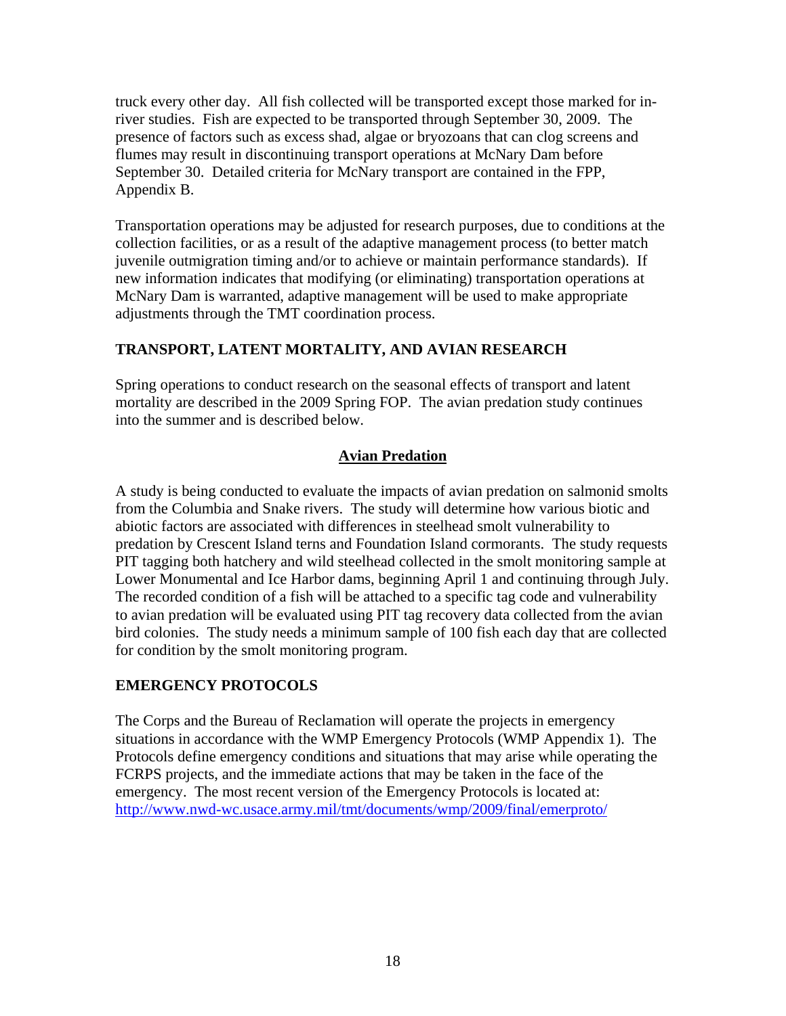truck every other day. All fish collected will be transported except those marked for inriver studies. Fish are expected to be transported through September 30, 2009. The presence of factors such as excess shad, algae or bryozoans that can clog screens and flumes may result in discontinuing transport operations at McNary Dam before September 30. Detailed criteria for McNary transport are contained in the FPP, Appendix B.

Transportation operations may be adjusted for research purposes, due to conditions at the collection facilities, or as a result of the adaptive management process (to better match juvenile outmigration timing and/or to achieve or maintain performance standards). If new information indicates that modifying (or eliminating) transportation operations at McNary Dam is warranted, adaptive management will be used to make appropriate adjustments through the TMT coordination process.

# **TRANSPORT, LATENT MORTALITY, AND AVIAN RESEARCH**

Spring operations to conduct research on the seasonal effects of transport and latent mortality are described in the 2009 Spring FOP. The avian predation study continues into the summer and is described below.

# **Avian Predation**

A study is being conducted to evaluate the impacts of avian predation on salmonid smolts from the Columbia and Snake rivers. The study will determine how various biotic and abiotic factors are associated with differences in steelhead smolt vulnerability to predation by Crescent Island terns and Foundation Island cormorants. The study requests PIT tagging both hatchery and wild steelhead collected in the smolt monitoring sample at Lower Monumental and Ice Harbor dams, beginning April 1 and continuing through July. The recorded condition of a fish will be attached to a specific tag code and vulnerability to avian predation will be evaluated using PIT tag recovery data collected from the avian bird colonies. The study needs a minimum sample of 100 fish each day that are collected for condition by the smolt monitoring program.

# **EMERGENCY PROTOCOLS**

The Corps and the Bureau of Reclamation will operate the projects in emergency situations in accordance with the WMP Emergency Protocols (WMP Appendix 1). The Protocols define emergency conditions and situations that may arise while operating the FCRPS projects, and the immediate actions that may be taken in the face of the emergency. The most recent version of the Emergency Protocols is located at: <http://www.nwd-wc.usace.army.mil/tmt/documents/wmp/2009/final/emerproto/>